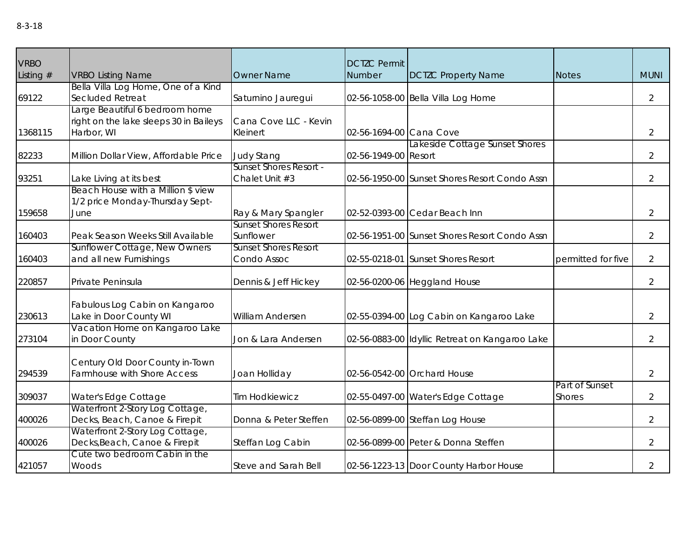| <b>VRBO</b> |                                                               |                                                    | <b>DCTZC Permit</b>     |                                                |                    |                |
|-------------|---------------------------------------------------------------|----------------------------------------------------|-------------------------|------------------------------------------------|--------------------|----------------|
| Listing $#$ | <b>VRBO Listing Name</b>                                      | <b>Owner Name</b>                                  | Number                  | <b>DCTZC Property Name</b>                     | <b>Notes</b>       | <b>MUNI</b>    |
|             | Bella Villa Log Home, One of a Kind                           |                                                    |                         |                                                |                    |                |
| 69122       | Secluded Retreat                                              | Saturnino Jauregui                                 |                         | 02-56-1058-00 Bella Villa Log Home             |                    | $\overline{2}$ |
|             | Large Beautiful 6 bedroom home                                |                                                    |                         |                                                |                    |                |
|             | right on the lake sleeps 30 in Baileys                        | Cana Cove LLC - Kevin                              |                         |                                                |                    |                |
| 1368115     | Harbor, WI                                                    | Kleinert                                           | 02-56-1694-00 Cana Cove |                                                |                    | $\overline{2}$ |
|             |                                                               |                                                    |                         | Lakeside Cottage Sunset Shores                 |                    |                |
| 82233       | Million Dollar View, Affordable Price                         | <b>Judy Stang</b><br><b>Sunset Shores Resort -</b> | 02-56-1949-00 Resort    |                                                |                    | $\overline{2}$ |
|             |                                                               | Chalet Unit #3                                     |                         | 02-56-1950-00 Sunset Shores Resort Condo Assn  |                    | $\overline{2}$ |
| 93251       | Lake Living at its best<br>Beach House with a Million \$ view |                                                    |                         |                                                |                    |                |
|             | 1/2 price Monday-Thursday Sept-                               |                                                    |                         |                                                |                    |                |
| 159658      | June                                                          | Ray & Mary Spangler                                |                         | 02-52-0393-00 Cedar Beach Inn                  |                    | $\overline{2}$ |
|             |                                                               | <b>Sunset Shores Resort</b>                        |                         |                                                |                    |                |
| 160403      | Peak Season Weeks Still Available                             | Sunflower                                          |                         | 02-56-1951-00 Sunset Shores Resort Condo Assn  |                    | $\overline{2}$ |
|             | Sunflower Cottage, New Owners                                 | <b>Sunset Shores Resort</b>                        |                         |                                                |                    |                |
| 160403      | and all new Furnishings                                       | Condo Assoc                                        |                         | 02-55-0218-01 Sunset Shores Resort             | permitted for five | $\overline{2}$ |
|             |                                                               |                                                    |                         |                                                |                    |                |
| 220857      | Private Peninsula                                             | Dennis & Jeff Hickey                               |                         | 02-56-0200-06 Heggland House                   |                    | $\overline{2}$ |
|             |                                                               |                                                    |                         |                                                |                    |                |
|             | Fabulous Log Cabin on Kangaroo                                |                                                    |                         |                                                |                    |                |
| 230613      | Lake in Door County WI                                        | William Andersen                                   |                         | 02-55-0394-00 Log Cabin on Kangaroo Lake       |                    | $\overline{2}$ |
|             | Vacation Home on Kangaroo Lake                                |                                                    |                         |                                                |                    |                |
| 273104      | in Door County                                                | Jon & Lara Andersen                                |                         | 02-56-0883-00 Idyllic Retreat on Kangaroo Lake |                    | $\overline{2}$ |
|             |                                                               |                                                    |                         |                                                |                    |                |
|             | Century Old Door County in-Town                               |                                                    |                         |                                                |                    |                |
| 294539      | Farmhouse with Shore Access                                   | Joan Holliday                                      |                         | 02-56-0542-00 Orchard House                    |                    | $\overline{2}$ |
|             |                                                               |                                                    |                         |                                                | Part of Sunset     |                |
| 309037      | Water's Edge Cottage                                          | <b>Tim Hodkiewicz</b>                              |                         | 02-55-0497-00 Water's Edge Cottage             | <b>Shores</b>      | $\overline{2}$ |
|             | Waterfront 2-Story Log Cottage,                               |                                                    |                         |                                                |                    |                |
| 400026      | Decks, Beach, Canoe & Firepit                                 | Donna & Peter Steffen                              |                         | 02-56-0899-00 Steffan Log House                |                    | $\overline{2}$ |
|             | Waterfront 2-Story Log Cottage,                               |                                                    |                         |                                                |                    |                |
| 400026      | Decks, Beach, Canoe & Firepit                                 | Steffan Log Cabin                                  |                         | 02-56-0899-00 Peter & Donna Steffen            |                    | $\overline{2}$ |
|             | Cute two bedroom Cabin in the                                 |                                                    |                         |                                                |                    |                |
| 421057      | Woods                                                         | Steve and Sarah Bell                               |                         | 02-56-1223-13 Door County Harbor House         |                    | $\overline{2}$ |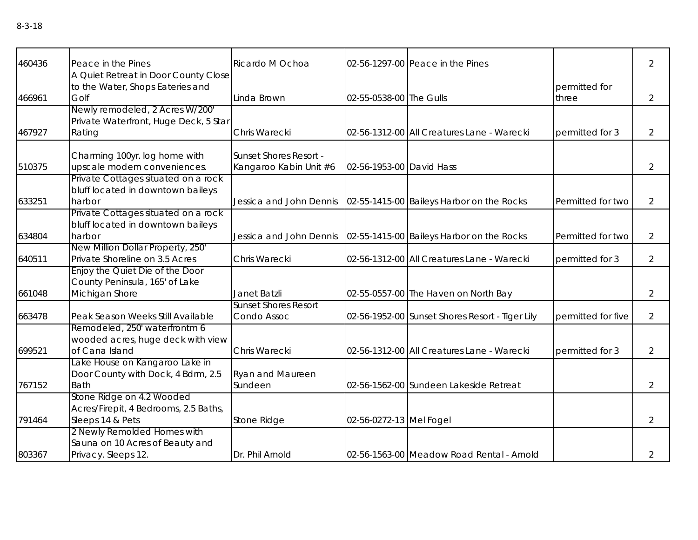| 460436 | Peace in the Pines                    | Ricardo M Ochoa               |                          | 02-56-1297-00 Peace in the Pines                |                    | $\overline{2}$ |
|--------|---------------------------------------|-------------------------------|--------------------------|-------------------------------------------------|--------------------|----------------|
|        | A Quiet Retreat in Door County Close  |                               |                          |                                                 |                    |                |
|        | to the Water, Shops Eateries and      |                               |                          |                                                 | permitted for      |                |
| 466961 | Golf                                  | Linda Brown                   | 02-55-0538-00 The Gulls  |                                                 | three              | $\overline{2}$ |
|        | Newly remodeled, 2 Acres W/200'       |                               |                          |                                                 |                    |                |
|        | Private Waterfront, Huge Deck, 5 Star |                               |                          |                                                 |                    |                |
| 467927 | Rating                                | Chris Warecki                 |                          | 02-56-1312-00 All Creatures Lane - Warecki      | permitted for 3    | 2              |
|        |                                       |                               |                          |                                                 |                    |                |
|        | Charming 100yr. log home with         | <b>Sunset Shores Resort -</b> |                          |                                                 |                    |                |
| 510375 | upscale modern conveniences.          | Kangaroo Kabin Unit #6        | 02-56-1953-00 David Hass |                                                 |                    | $\overline{2}$ |
|        | Private Cottages situated on a rock   |                               |                          |                                                 |                    |                |
|        | bluff located in downtown baileys     |                               |                          |                                                 |                    |                |
| 633251 | harbor                                | Jessica and John Dennis       |                          | 02-55-1415-00 Baileys Harbor on the Rocks       | Permitted for two  | 2              |
|        | Private Cottages situated on a rock   |                               |                          |                                                 |                    |                |
|        | bluff located in downtown baileys     |                               |                          |                                                 |                    |                |
| 634804 | harbor                                | Jessica and John Dennis       |                          | 02-55-1415-00 Baileys Harbor on the Rocks       | Permitted for two  | $\overline{2}$ |
|        | New Million Dollar Property, 250'     |                               |                          |                                                 |                    |                |
| 640511 | Private Shoreline on 3.5 Acres        | Chris Warecki                 |                          | 02-56-1312-00 All Creatures Lane - Warecki      | permitted for 3    | $\overline{2}$ |
|        | Enjoy the Quiet Die of the Door       |                               |                          |                                                 |                    |                |
|        | County Peninsula, 165' of Lake        |                               |                          |                                                 |                    |                |
| 661048 | Michigan Shore                        | Janet Batzli                  |                          | 02-55-0557-00 The Haven on North Bay            |                    | $\overline{2}$ |
|        |                                       | <b>Sunset Shores Resort</b>   |                          |                                                 |                    |                |
| 663478 | Peak Season Weeks Still Available     | Condo Assoc                   |                          | 02-56-1952-00 Sunset Shores Resort - Tiger Lily | permitted for five | $\overline{2}$ |
|        | Remodeled, 250' waterfrontm 6         |                               |                          |                                                 |                    |                |
|        | wooded acres, huge deck with view     |                               |                          |                                                 |                    |                |
| 699521 | of Cana Island                        | Chris Warecki                 |                          | 02-56-1312-00 All Creatures Lane - Warecki      | permitted for 3    | $\overline{2}$ |
|        | Lake House on Kangaroo Lake in        |                               |                          |                                                 |                    |                |
|        | Door County with Dock, 4 Bdrm, 2.5    | Ryan and Maureen              |                          |                                                 |                    |                |
| 767152 | <b>Bath</b>                           | Sundeen                       |                          | 02-56-1562-00 Sundeen Lakeside Retreat          |                    | 2              |
|        | Stone Ridge on 4.2 Wooded             |                               |                          |                                                 |                    |                |
|        | Acres/Firepit, 4 Bedrooms, 2.5 Baths, |                               |                          |                                                 |                    |                |
| 791464 | Sleeps 14 & Pets                      | Stone Ridge                   | 02-56-0272-13 Mel Fogel  |                                                 |                    | 2              |
|        | 2 Newly Remolded Homes with           |                               |                          |                                                 |                    |                |
|        | Sauna on 10 Acres of Beauty and       |                               |                          |                                                 |                    |                |
| 803367 | Privacy. Sleeps 12.                   | Dr. Phil Arnold               |                          | 02-56-1563-00 Meadow Road Rental - Arnold       |                    | 2              |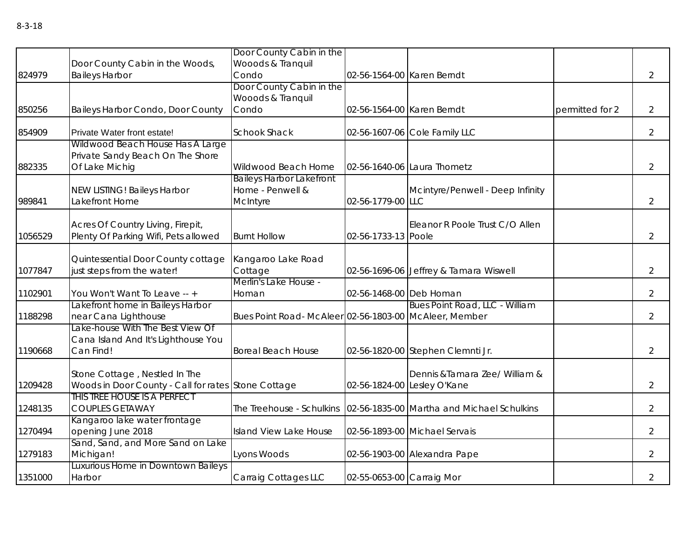|         |                                                        | Door County Cabin in the                              |                            |                                            |                 |                |
|---------|--------------------------------------------------------|-------------------------------------------------------|----------------------------|--------------------------------------------|-----------------|----------------|
|         | Door County Cabin in the Woods,                        | Wooods & Tranquil                                     |                            |                                            |                 |                |
| 824979  | <b>Baileys Harbor</b>                                  | Condo                                                 | 02-56-1564-00 Karen Berndt |                                            |                 | $\overline{2}$ |
|         |                                                        | Door County Cabin in the                              |                            |                                            |                 |                |
|         |                                                        | Wooods & Tranquil                                     |                            |                                            |                 |                |
| 850256  | Baileys Harbor Condo, Door County                      | Condo                                                 | 02-56-1564-00 Karen Berndt |                                            | permitted for 2 | 2              |
| 854909  | Private Water front estate!                            | <b>Schook Shack</b>                                   |                            | 02-56-1607-06 Cole Family LLC              |                 | $\overline{2}$ |
|         | Wildwood Beach House Has A Large                       |                                                       |                            |                                            |                 |                |
|         | Private Sandy Beach On The Shore                       |                                                       |                            |                                            |                 |                |
| 882335  | Of Lake Michig                                         | Wildwood Beach Home                                   |                            | 02-56-1640-06 Laura Thometz                |                 | $\overline{2}$ |
|         |                                                        | <b>Baileys Harbor Lakefront</b>                       |                            |                                            |                 |                |
|         | NEW LISTING! Baileys Harbor                            | Home - Penwell &                                      |                            | Mcintyre/Penwell - Deep Infinity           |                 |                |
| 989841  | Lakefront Home                                         | McIntyre                                              | 02-56-1779-00 LLC          |                                            |                 | $\overline{2}$ |
|         |                                                        |                                                       |                            |                                            |                 |                |
|         | Acres Of Country Living, Firepit,                      |                                                       |                            | Eleanor R Poole Trust C/O Allen            |                 |                |
| 1056529 | Plenty Of Parking Wifi, Pets allowed                   | <b>Burnt Hollow</b>                                   | 02-56-1733-13 Poole        |                                            |                 | $\overline{2}$ |
|         | Quintessential Door County cottage                     | Kangaroo Lake Road                                    |                            |                                            |                 |                |
| 1077847 | just steps from the water!                             | Cottage                                               |                            | 02-56-1696-06 Jeffrey & Tamara Wiswell     |                 | $\overline{2}$ |
|         |                                                        | Merlin's Lake House -                                 |                            |                                            |                 |                |
| 1102901 | You Won't Want To Leave -- +                           | Homan                                                 | 02-56-1468-00 Deb Homan    |                                            |                 | $\overline{2}$ |
|         | akefront home in Baileys Harbor                        |                                                       |                            | <b>Bues Point Road, LLC - William</b>      |                 |                |
| 1188298 | near Cana Lighthouse                                   | Bues Point Road-McAleer 02-56-1803-00 McAleer, Member |                            |                                            |                 | $\overline{2}$ |
|         | ake-house With The Best View Of                        |                                                       |                            |                                            |                 |                |
|         | Cana Island And It's Lighthouse You                    |                                                       |                            |                                            |                 |                |
| 1190668 | Can Find!                                              | <b>Boreal Beach House</b>                             |                            | 02-56-1820-00 Stephen Clemnti Jr.          |                 | $\overline{2}$ |
|         |                                                        |                                                       |                            |                                            |                 |                |
|         | Stone Cottage, Nestled In The                          |                                                       |                            | Dennis & Tamara Zee/ William &             |                 |                |
| 1209428 | Woods in Door County - Call for rates Stone Cottage    |                                                       |                            | 02-56-1824-00 Lesley O'Kane                |                 | $\overline{2}$ |
|         | This tree house is a perfect                           |                                                       |                            |                                            |                 |                |
| 1248135 | <b>COUPLES GETAWAY</b>                                 | The Treehouse - Schulkins                             |                            | 02-56-1835-00 Martha and Michael Schulkins |                 | $\overline{2}$ |
| 1270494 | Kangaroo lake water frontage                           | Island View Lake House                                |                            | 02-56-1893-00 Michael Servais              |                 | $\overline{2}$ |
|         | opening June 2018<br>Sand, Sand, and More Sand on Lake |                                                       |                            |                                            |                 |                |
| 1279183 | Michigan!                                              | Lyons Woods                                           |                            | 02-56-1903-00 Alexandra Pape               |                 | $\overline{2}$ |
|         | Luxurious Home in Downtown Baileys                     |                                                       |                            |                                            |                 |                |
| 1351000 | Harbor                                                 | Carraig Cottages LLC                                  | 02-55-0653-00 Carraig Mor  |                                            |                 | $\overline{2}$ |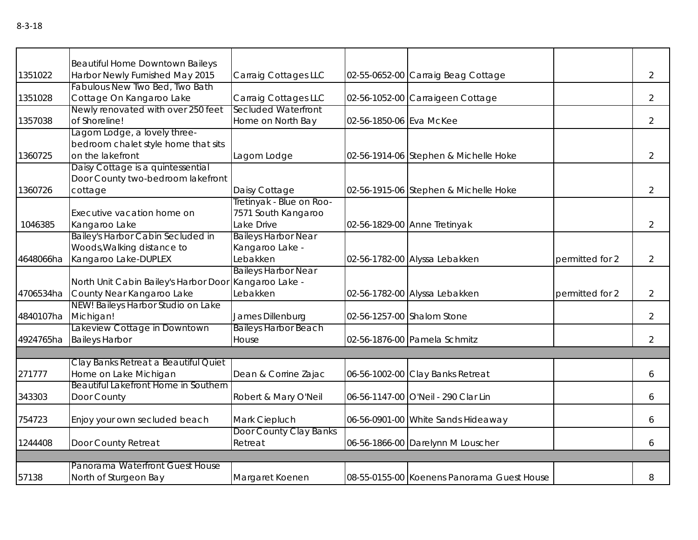|           | <b>Beautiful Home Downtown Baileys</b>                |                             |                         |                                            |                 |                |
|-----------|-------------------------------------------------------|-----------------------------|-------------------------|--------------------------------------------|-----------------|----------------|
| 1351022   | Harbor Newly Furnished May 2015                       | Carraig Cottages LLC        |                         | 02-55-0652-00 Carraig Beag Cottage         |                 | $\overline{2}$ |
|           | Fabulous New Two Bed, Two Bath                        |                             |                         |                                            |                 |                |
| 1351028   | Cottage On Kangaroo Lake                              | Carraig Cottages LLC        |                         | 02-56-1052-00 Carraigeen Cottage           |                 | $\overline{2}$ |
|           | Newly renovated with over 250 feet                    | Secluded Waterfront         |                         |                                            |                 |                |
| 1357038   | of Shoreline!                                         | Home on North Bay           | 02-56-1850-06 Eva McKee |                                            |                 | $\overline{2}$ |
|           | Lagom Lodge, a lovely three-                          |                             |                         |                                            |                 |                |
|           | bedroom chalet style home that sits                   |                             |                         |                                            |                 |                |
| 1360725   | on the lakefront                                      | Lagom Lodge                 |                         | 02-56-1914-06 Stephen & Michelle Hoke      |                 | $\overline{2}$ |
|           | Daisy Cottage is a quintessential                     |                             |                         |                                            |                 |                |
|           | Door County two-bedroom lakefront                     |                             |                         |                                            |                 |                |
| 1360726   | cottage                                               | Daisy Cottage               |                         | 02-56-1915-06 Stephen & Michelle Hoke      |                 | $\overline{2}$ |
|           |                                                       | Tretinyak - Blue on Roo-    |                         |                                            |                 |                |
|           | Executive vacation home on                            | 7571 South Kangaroo         |                         |                                            |                 |                |
| 1046385   | Kangaroo Lake                                         | Lake Drive                  |                         | 02-56-1829-00 Anne Tretinyak               |                 | $\overline{2}$ |
|           | Bailey's Harbor Cabin Secluded in                     | <b>Baileys Harbor Near</b>  |                         |                                            |                 |                |
|           | Woods, Walking distance to                            | Kangaroo Lake -             |                         |                                            |                 |                |
| 4648066ha | Kangaroo Lake-DUPLEX                                  | Lebakken                    |                         | 02-56-1782-00 Alyssa Lebakken              | permitted for 2 | $\overline{2}$ |
|           |                                                       | <b>Baileys Harbor Near</b>  |                         |                                            |                 |                |
|           | North Unit Cabin Bailey's Harbor Door Kangaroo Lake - |                             |                         |                                            |                 |                |
| 4706534ha | County Near Kangaroo Lake                             | Lebakken                    |                         | 02-56-1782-00 Alyssa Lebakken              | permitted for 2 | $\overline{2}$ |
|           | NEW! Baileys Harbor Studio on Lake                    |                             |                         |                                            |                 |                |
| 4840107ha | Michigan!                                             | James Dillenburg            |                         | 02-56-1257-00 Shalom Stone                 |                 | $\overline{2}$ |
|           | Lakeview Cottage in Downtown                          | <b>Baileys Harbor Beach</b> |                         |                                            |                 |                |
| 4924765ha | <b>Baileys Harbor</b>                                 | House                       |                         | 02-56-1876-00 Pamela Schmitz               |                 | $\overline{2}$ |
|           |                                                       |                             |                         |                                            |                 |                |
|           | Clay Banks Retreat a Beautiful Quiet                  |                             |                         |                                            |                 |                |
| 271777    | Home on Lake Michigan                                 | Dean & Corrine Zajac        |                         | 06-56-1002-00 Clay Banks Retreat           |                 | 6              |
|           | Beautiful Lakefront Home in Southern                  |                             |                         |                                            |                 |                |
| 343303    | Door County                                           | Robert & Mary O'Neil        |                         | 06-56-1147-00 O'Neil - 290 Clar Lin        |                 | 6              |
| 754723    | Enjoy your own secluded beach                         | Mark Ciepluch               |                         | 06-56-0901-00 White Sands Hideaway         |                 | 6              |
|           |                                                       | Door County Clay Banks      |                         |                                            |                 |                |
| 1244408   | Door County Retreat                                   | Retreat                     |                         | 06-56-1866-00 Darelynn M Louscher          |                 | 6              |
|           |                                                       |                             |                         |                                            |                 |                |
|           | Panorama Waterfront Guest House                       |                             |                         |                                            |                 |                |
| 57138     | North of Sturgeon Bay                                 | Margaret Koenen             |                         | 08-55-0155-00 Koenens Panorama Guest House |                 | 8              |
|           |                                                       |                             |                         |                                            |                 |                |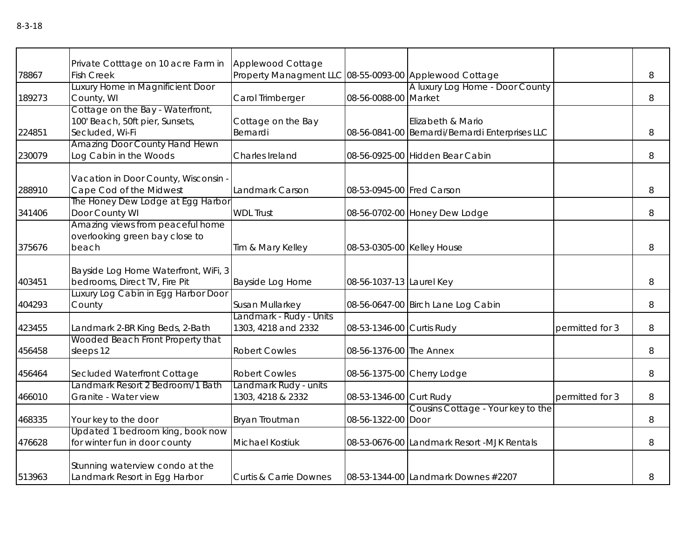|        |                                                          | Applewood Cottage                                      |                            |                                                 |                 |       |
|--------|----------------------------------------------------------|--------------------------------------------------------|----------------------------|-------------------------------------------------|-----------------|-------|
| 78867  | Private Cotttage on 10 acre Farm in<br><b>Fish Creek</b> | Property Managment LLC 08-55-0093-00 Applewood Cottage |                            |                                                 |                 | 8     |
|        | Luxury Home in Magnificient Door                         |                                                        |                            | A luxury Log Home - Door County                 |                 |       |
| 189273 | County, WI                                               | Carol Trimberger                                       | 08-56-0088-00 Market       |                                                 |                 | 8     |
|        | Cottage on the Bay - Waterfront,                         |                                                        |                            |                                                 |                 |       |
|        | 100' Beach, 50ft pier, Sunsets,                          | Cottage on the Bay                                     |                            | Elizabeth & Mario                               |                 |       |
| 224851 | Secluded, Wi-Fi                                          | Bernardi                                               |                            | 08-56-0841-00 Bernardi/Bernardi Enterprises LLC |                 | 8     |
|        | Amazing Door County Hand Hewn                            |                                                        |                            |                                                 |                 |       |
| 230079 | Log Cabin in the Woods                                   | Charles Ireland                                        |                            | 08-56-0925-00 Hidden Bear Cabin                 |                 | 8     |
|        | Vacation in Door County, Wisconsin                       |                                                        |                            |                                                 |                 |       |
| 288910 | Cape Cod of the Midwest                                  | Landmark Carson                                        | 08-53-0945-00 Fred Carson  |                                                 |                 | 8     |
|        | The Honey Dew Lodge at Egg Harbor                        |                                                        |                            |                                                 |                 |       |
| 341406 | Door County WI                                           | <b>WDL Trust</b>                                       |                            | 08-56-0702-00 Honey Dew Lodge                   |                 | 8     |
|        | Amazing views from peaceful home                         |                                                        |                            |                                                 |                 |       |
|        | overlooking green bay close to                           |                                                        |                            |                                                 |                 |       |
| 375676 | beach                                                    | Tim & Mary Kelley                                      | 08-53-0305-00 Kelley House |                                                 |                 | 8     |
|        | Bayside Log Home Waterfront, WiFi, 3                     |                                                        |                            |                                                 |                 |       |
| 403451 | bedrooms, Direct TV, Fire Pit                            | Bayside Log Home                                       | 08-56-1037-13 Laurel Key   |                                                 |                 | 8     |
|        | Luxury Log Cabin in Egg Harbor Door                      |                                                        |                            |                                                 |                 |       |
| 404293 | County                                                   | Susan Mullarkey                                        |                            | 08-56-0647-00 Birch Lane Log Cabin              |                 | 8     |
|        |                                                          | Landmark - Rudy - Units                                |                            |                                                 |                 |       |
| 423455 | Landmark 2-BR King Beds, 2-Bath                          | 1303, 4218 and 2332                                    | 08-53-1346-00 Curtis Rudy  |                                                 | permitted for 3 | 8     |
|        | Wooded Beach Front Property that                         |                                                        |                            |                                                 |                 |       |
| 456458 | sleeps 12                                                | <b>Robert Cowles</b>                                   | 08-56-1376-00 The Annex    |                                                 |                 | 8     |
| 456464 | Secluded Waterfront Cottage                              | <b>Robert Cowles</b>                                   |                            | 08-56-1375-00 Cherry Lodge                      |                 | 8     |
|        | Landmark Resort 2 Bedroom/1 Bath                         | Landmark Rudy - units                                  |                            |                                                 |                 |       |
| 466010 | Granite - Water view                                     | 1303, 4218 & 2332                                      | 08-53-1346-00 Curt Rudy    |                                                 | permitted for 3 | $8\,$ |
|        |                                                          |                                                        |                            | Cousins Cottage - Your key to the               |                 |       |
| 468335 | Your key to the door                                     | Bryan Troutman                                         | 08-56-1322-00 Door         |                                                 |                 | 8     |
|        | Updated 1 bedroom king, book now                         |                                                        |                            |                                                 |                 |       |
| 476628 | for winter fun in door county                            | <b>Michael Kostiuk</b>                                 |                            | 08-53-0676-00 Landmark Resort -MJK Rentals      |                 | 8     |
|        | Stunning waterview condo at the                          |                                                        |                            |                                                 |                 |       |
| 513963 | Landmark Resort in Egg Harbor                            | <b>Curtis &amp; Carrie Downes</b>                      |                            | 08-53-1344-00 Landmark Downes #2207             |                 | 8     |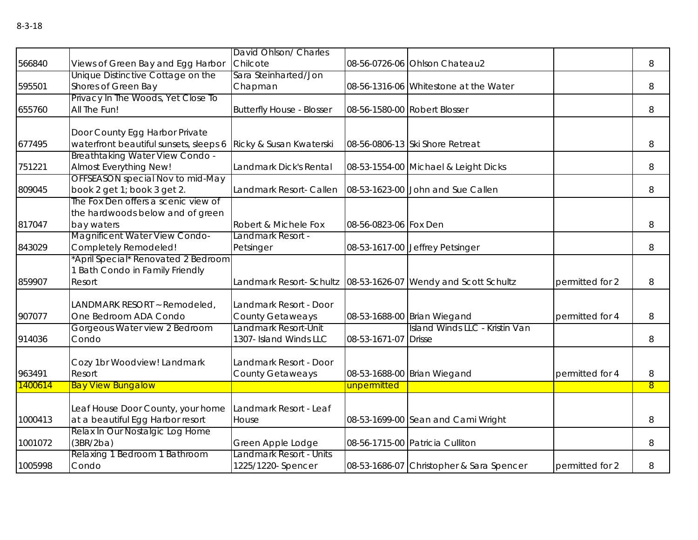|         |                                           | David Ohlson/ Charles            |                       |                                                                  |                 |                |
|---------|-------------------------------------------|----------------------------------|-----------------------|------------------------------------------------------------------|-----------------|----------------|
| 566840  | Views of Green Bay and Egg Harbor         | Chilcote                         |                       | 08-56-0726-06 Ohlson Chateau2                                    |                 | 8              |
|         | Unique Distinctive Cottage on the         | Sara Steinharted/Jon             |                       |                                                                  |                 |                |
| 595501  | Shores of Green Bay                       | Chapman                          |                       | 08-56-1316-06 Whitestone at the Water                            |                 | 8              |
|         | Privacy In The Woods, Yet Close To        |                                  |                       |                                                                  |                 |                |
| 655760  | All The Fun!                              | <b>Butterfly House - Blosser</b> |                       | 08-56-1580-00 Robert Blosser                                     |                 | 8              |
|         | Door County Egg Harbor Private            |                                  |                       |                                                                  |                 |                |
| 677495  | waterfront beautiful sunsets, sleeps 6    | Ricky & Susan Kwaterski          |                       | 08-56-0806-13 Ski Shore Retreat                                  |                 | 8              |
|         | Breathtaking Water View Condo -           |                                  |                       |                                                                  |                 |                |
| 751221  | Almost Everything New!                    | Landmark Dick's Rental           |                       | 08-53-1554-00 Michael & Leight Dicks                             |                 | 8              |
|         | OFFSEASON special Nov to mid-May          |                                  |                       |                                                                  |                 |                |
| 809045  | book 2 get 1; book 3 get 2.               | Landmark Resort- Callen          |                       | 08-53-1623-00 John and Sue Callen                                |                 | 8              |
|         | The Fox Den offers a scenic view of       |                                  |                       |                                                                  |                 |                |
|         | the hardwoods below and of green          |                                  |                       |                                                                  |                 |                |
| 817047  | bay waters                                | Robert & Michele Fox             | 08-56-0823-06 Fox Den |                                                                  |                 | 8              |
|         | Magnificent Water View Condo-             | Landmark Resort -                |                       |                                                                  |                 |                |
| 843029  | Completely Remodeled!                     | Petsinger                        |                       | 08-53-1617-00 Jeffrey Petsinger                                  |                 | 8              |
|         | *April Special* Renovated 2 Bedroom       |                                  |                       |                                                                  |                 |                |
|         | 1 Bath Condo in Family Friendly<br>Resort |                                  |                       |                                                                  |                 |                |
| 859907  |                                           |                                  |                       | Landmark Resort- Schultz   08-53-1626-07 Wendy and Scott Schultz | permitted for 2 | 8              |
|         | LANDMARK RESORT ~ Remodeled,              | Landmark Resort - Door           |                       |                                                                  |                 |                |
| 907077  | One Bedroom ADA Condo                     | <b>County Getaweays</b>          |                       | 08-53-1688-00 Brian Wiegand                                      | permitted for 4 | 8              |
|         | Gorgeous Water view 2 Bedroom             | Landmark Resort-Unit             |                       | Island Winds LLC - Kristin Van                                   |                 |                |
| 914036  | Condo                                     | 1307- Island Winds LLC           | 08-53-1671-07         | <b>Drisse</b>                                                    |                 | 8              |
|         |                                           |                                  |                       |                                                                  |                 |                |
|         | Cozy 1br Woodview! Landmark               | Landmark Resort - Door           |                       |                                                                  |                 |                |
| 963491  | Resort                                    | <b>County Getaweays</b>          |                       | 08-53-1688-00 Brian Wiegand                                      | permitted for 4 | 8              |
| 1400614 | <b>Bay View Bungalow</b>                  |                                  | unpermitted           |                                                                  |                 | $\overline{8}$ |
|         |                                           |                                  |                       |                                                                  |                 |                |
|         | Leaf House Door County, your home         | Landmark Resort - Leaf           |                       |                                                                  |                 |                |
| 1000413 | at a beautiful Egg Harbor resort          | House                            |                       | 08-53-1699-00 Sean and Cami Wright                               |                 | 8              |
|         | Relax In Our Nostalgic Log Home           |                                  |                       |                                                                  |                 |                |
| 1001072 | (3BR/2ba)                                 | Green Apple Lodge                |                       | 08-56-1715-00 Patricia Culliton                                  |                 | 8              |
|         | Relaxing 1 Bedroom 1 Bathroom             | Landmark Resort - Units          |                       |                                                                  |                 |                |
| 1005998 | Condo                                     | 1225/1220- Spencer               |                       | 08-53-1686-07 Christopher & Sara Spencer                         | permitted for 2 | 8              |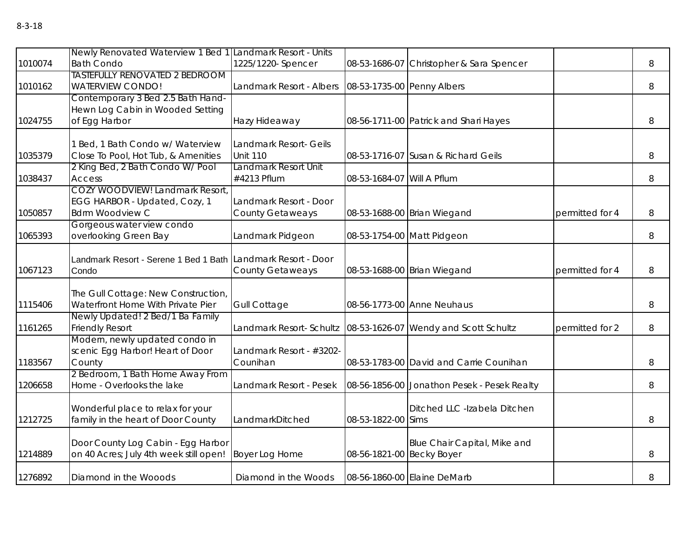| ۰.<br>۰,<br>×<br>× | ×<br>۰, |
|--------------------|---------|
|--------------------|---------|

|         | Newly Renovated Waterview 1 Bed 1 Landmark Resort - Units    |                                                       |                            |                                             |                 |   |
|---------|--------------------------------------------------------------|-------------------------------------------------------|----------------------------|---------------------------------------------|-----------------|---|
| 1010074 | <b>Bath Condo</b>                                            | 1225/1220- Spencer                                    | 08-53-1686-07              | Christopher & Sara Spencer                  |                 | 8 |
|         | <b>TASTEFULLY RENOVATED 2 BEDROOM</b>                        |                                                       |                            |                                             |                 |   |
| 1010162 | <b>WATERVIEW CONDO!</b><br>Contemporary 3 Bed 2.5 Bath Hand- | Landmark Resort - Albers   08-53-1735-00 Penny Albers |                            |                                             |                 | 8 |
|         | Hewn Log Cabin in Wooded Setting                             |                                                       |                            |                                             |                 |   |
| 1024755 | of Egg Harbor                                                | Hazy Hideaway                                         |                            | 08-56-1711-00 Patrick and Shari Hayes       |                 | 8 |
|         | <b>Bed, 1 Bath Condo w/ Waterview</b>                        | Landmark Resort- Geils                                |                            |                                             |                 |   |
| 1035379 | Close To Pool, Hot Tub, & Amenities                          | <b>Unit 110</b>                                       |                            | 08-53-1716-07 Susan & Richard Geils         |                 | 8 |
|         | 2 King Bed, 2 Bath Condo W/ Pool                             | Landmark Resort Unit                                  |                            |                                             |                 |   |
| 1038437 | <b>Access</b>                                                | #4213 Pflum                                           | 08-53-1684-07 Will A Pflum |                                             |                 | 8 |
|         | COZY WOODVIEW! Landmark Resort,                              |                                                       |                            |                                             |                 |   |
| 1050857 | EGG HARBOR - Updated, Cozy, 1<br><b>Bdrm Woodview C</b>      | Landmark Resort - Door<br><b>County Getaweays</b>     |                            | 08-53-1688-00 Brian Wiegand                 | permitted for 4 | 8 |
|         | Gorgeous water view condo                                    |                                                       |                            |                                             |                 |   |
| 1065393 | overlooking Green Bay                                        | Landmark Pidgeon                                      |                            | 08-53-1754-00 Matt Pidgeon                  |                 | 8 |
|         | Landmark Resort - Serene 1 Bed 1 Bath Landmark Resort - Door |                                                       |                            |                                             |                 |   |
| 1067123 | Condo                                                        | <b>County Getaweays</b>                               |                            | 08-53-1688-00 Brian Wiegand                 | permitted for 4 | 8 |
|         | The Gull Cottage: New Construction,                          |                                                       |                            |                                             |                 |   |
| 1115406 | Waterfront Home With Private Pier                            | <b>Gull Cottage</b>                                   |                            | 08-56-1773-00 Anne Neuhaus                  |                 | 8 |
| 1161265 | Newly Updated! 2 Bed/1 Ba Family<br><b>Friendly Resort</b>   | Landmark Resort- Schultz                              |                            | 08-53-1626-07 Wendy and Scott Schultz       | permitted for 2 | 8 |
|         | Modern, newly updated condo in                               |                                                       |                            |                                             |                 |   |
|         | scenic Egg Harbor! Heart of Door                             | Landmark Resort - #3202-                              |                            |                                             |                 |   |
| 1183567 | County                                                       | Counihan                                              |                            | 08-53-1783-00 David and Carrie Counihan     |                 | 8 |
|         | 2 Bedroom, 1 Bath Home Away From                             |                                                       |                            |                                             |                 |   |
| 1206658 | Home - Overlooks the lake                                    | Landmark Resort - Pesek                               |                            | 08-56-1856-00 Jonathon Pesek - Pesek Realty |                 | 8 |
|         | Wonderful place to relax for your                            |                                                       |                            | Ditched LLC -Izabela Ditchen                |                 |   |
| 1212725 | family in the heart of Door County                           | LandmarkDitched                                       | 08-53-1822-00 Sims         |                                             |                 | 8 |
|         | Door County Log Cabin - Egg Harbor                           |                                                       |                            | Blue Chair Capital, Mike and                |                 |   |
| 1214889 | on 40 Acres; July 4th week still open!                       | <b>Boyer Log Home</b>                                 | 08-56-1821-00 Becky Boyer  |                                             |                 | 8 |
| 1276892 | Diamond in the Wooods                                        | Diamond in the Woods                                  |                            | 08-56-1860-00 Elaine DeMarb                 |                 | 8 |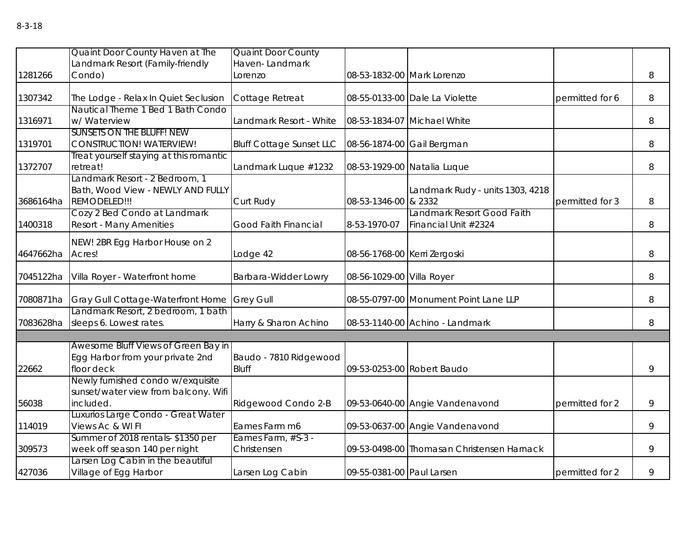|           | Quaint Door County Haven at The                                                     | <b>Quaint Door County</b>       |                              |                                            |                 |   |
|-----------|-------------------------------------------------------------------------------------|---------------------------------|------------------------------|--------------------------------------------|-----------------|---|
|           | andmark Resort (Family-friendly                                                     | Haven-Landmark                  |                              |                                            |                 |   |
| 1281266   | Condo)                                                                              | _orenzo                         |                              | 08-53-1832-00 Mark Lorenzo                 |                 | 8 |
| 1307342   | The Lodge - Relax In Quiet Seclusion                                                | Cottage Retreat                 |                              | 08-55-0133-00 Dale La Violette             | permitted for 6 | 8 |
|           | Nautical Theme 1 Bed 1 Bath Condo                                                   |                                 |                              |                                            |                 |   |
| 1316971   | w/ Waterview                                                                        | Landmark Resort - White         |                              | 08-53-1834-07 Michael White                |                 | 8 |
| 1319701   | <b>SUNSETS ON THE BLUFF! NEW</b><br><b>CONSTRUCTION! WATERVIEW!</b>                 | <b>Bluff Cottage Sunset LLC</b> |                              | 08-56-1874-00 Gail Bergman                 |                 | 8 |
|           | Treat yourself staying at this romantic                                             |                                 |                              |                                            |                 |   |
| 1372707   | retreat!                                                                            | Landmark Luque #1232            |                              | 08-53-1929-00 Natalia Luque                |                 | 8 |
| 3686164ha | Landmark Resort - 2 Bedroom, 1<br>Bath, Wood View - NEWLY AND FULLY<br>REMODELED!!! | Curt Rudy                       | 08-53-1346-00 & 2332         | Landmark Rudy - units 1303, 4218           | permitted for 3 | 8 |
|           | Cozy 2 Bed Condo at Landmark                                                        |                                 |                              | Landmark Resort Good Faith                 |                 |   |
| 1400318   | <b>Resort - Many Amenities</b>                                                      | Good Faith Financial            | 8-53-1970-07                 | Financial Unit #2324                       |                 | 8 |
|           | NEW! 2BR Egg Harbor House on 2                                                      |                                 |                              |                                            |                 |   |
| 4647662ha | Acres!                                                                              | Lodge 42                        | 08-56-1768-00 Kerri Zergoski |                                            |                 | 8 |
| 7045122ha | Villa Royer - Waterfront home                                                       | Barbara-Widder Lowry            | 08-56-1029-00 Villa Royer    |                                            |                 | 8 |
| 7080871ha | <b>Gray Gull Cottage-Waterfront Home</b>                                            | <b>Grey Gull</b>                |                              | 08-55-0797-00 Monument Point Lane LLP      |                 | 8 |
|           | Landmark Resort, 2 bedroom, 1 bath                                                  |                                 |                              |                                            |                 |   |
| 7083628ha | sleeps 6. Lowest rates.                                                             | Harry & Sharon Achino           |                              | 08-53-1140-00 Achino - Landmark            |                 | 8 |
|           |                                                                                     |                                 |                              |                                            |                 |   |
|           | Awesome Bluff Views of Green Bay in<br>Egg Harbor from your private 2nd             | Baudo - 7810 Ridgewood          |                              |                                            |                 |   |
| 22662     | floor deck<br>Newly furnished condo w/exquisite                                     | <b>Bluff</b>                    |                              | 09-53-0253-00 Robert Baudo                 |                 | 9 |
|           | sunset/water view from balcony. Wifi                                                |                                 |                              |                                            |                 |   |
| 56038     | included.                                                                           | Ridgewood Condo 2-B             |                              | 09-53-0640-00 Angie Vandenavond            | permitted for 2 | 9 |
|           | Luxurios Large Condo - Great Water                                                  |                                 |                              |                                            |                 |   |
| 114019    | Views Ac & WI FI                                                                    | Eames Farm m6                   |                              | 09-53-0637-00 Angie Vandenavond            |                 | 9 |
|           | Summer of 2018 rentals-\$1350 per                                                   | Eames Farm, #S-3 -              |                              |                                            |                 |   |
| 309573    | week off season 140 per night                                                       | Christensen                     |                              | 09-53-0498-00 Thomasan Christensen Harnack |                 | 9 |
| 427036    | arsen Log Cabin in the beautiful<br>Village of Egg Harbor                           | Larsen Log Cabin                | 09-55-0381-00 Paul Larsen    |                                            | permitted for 2 | 9 |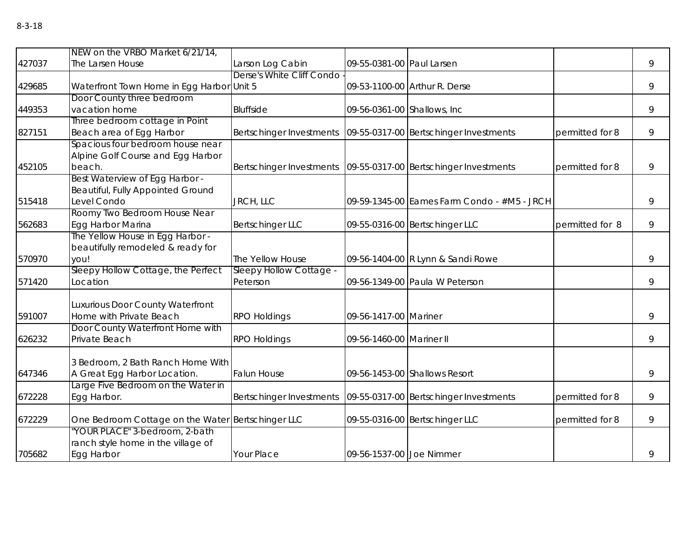|        | NEW on the VRBO Market 6/21/14,                                                    |                                                                   |                              |                                             |                 |   |
|--------|------------------------------------------------------------------------------------|-------------------------------------------------------------------|------------------------------|---------------------------------------------|-----------------|---|
| 427037 | The Larsen House                                                                   | Larson Log Cabin                                                  | 09-55-0381-00 Paul Larsen    |                                             |                 | 9 |
| 429685 | Waterfront Town Home in Egg Harbor Unit 5                                          | Derse's White Cliff Condo                                         |                              | 09-53-1100-00 Arthur R. Derse               |                 | 9 |
| 449353 | Door County three bedroom<br>vacation home                                         | <b>Bluffside</b>                                                  | 09-56-0361-00 Shallows, Inc. |                                             |                 | 9 |
| 827151 | Three bedroom cottage in Point<br>Beach area of Egg Harbor                         | Bertschinger Investments                                          |                              | 09-55-0317-00 Bertschinger Investments      | permitted for 8 | 9 |
| 452105 | Spacious four bedroom house near<br>Alpine Golf Course and Egg Harbor<br>beach.    | Bertschinger Investments   09-55-0317-00 Bertschinger Investments |                              |                                             | permitted for 8 | 9 |
| 515418 | Best Waterview of Egg Harbor -<br>Beautiful, Fully Appointed Ground<br>Level Condo | JRCH, LLC                                                         |                              | 09-59-1345-00 Eames Farm Condo - #M5 - JRCH |                 | 9 |
| 562683 | Roomy Two Bedroom House Near<br>Egg Harbor Marina                                  | <b>Bertschinger LLC</b>                                           |                              | 09-55-0316-00 Bertschinger LLC              | permitted for 8 | 9 |
| 570970 | The Yellow House in Egg Harbor -<br>beautifully remodeled & ready for<br>you!      | The Yellow House                                                  |                              | 09-56-1404-00 R Lynn & Sandi Rowe           |                 | 9 |
| 571420 | Sleepy Hollow Cottage, the Perfect<br>Location                                     | Sleepy Hollow Cottage -<br>Peterson                               |                              | 09-56-1349-00 Paula W Peterson              |                 | 9 |
| 591007 | Luxurious Door County Waterfront<br>Home with Private Beach                        | <b>RPO Holdings</b>                                               | 09-56-1417-00 Mariner        |                                             |                 | 9 |
| 626232 | Door County Waterfront Home with<br>Private Beach                                  | <b>RPO Holdings</b>                                               | 09-56-1460-00 Mariner II     |                                             |                 | 9 |
| 647346 | 3 Bedroom, 2 Bath Ranch Home With<br>A Great Egg Harbor Location.                  | <b>Falun House</b>                                                |                              | 09-56-1453-00 Shallows Resort               |                 | 9 |
| 672228 | Large Five Bedroom on the Water in<br>Egg Harbor.                                  | Bertschinger Investments                                          |                              | 09-55-0317-00 Bertschinger Investments      | permitted for 8 | 9 |
| 672229 | One Bedroom Cottage on the Water Bertschinger LLC                                  |                                                                   |                              | 09-55-0316-00 Bertschinger LLC              | permitted for 8 | 9 |
| 705682 | 'YOUR PLACE" 3-bedroom, 2-bath<br>ranch style home in the village of<br>Egg Harbor | Your Place                                                        | 09-56-1537-00 Joe Nimmer     |                                             |                 | 9 |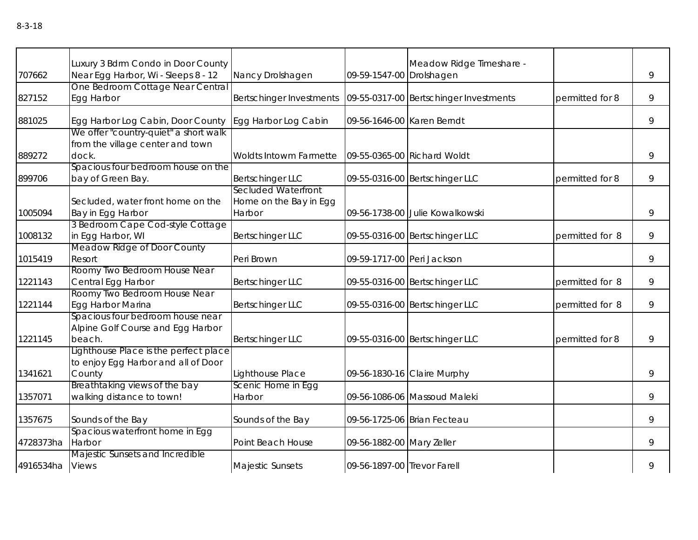|                 | Luxury 3 Bdrm Condo in Door County                                                     |                                                         |                             | Meadow Ridge Timeshare -               |                 |   |
|-----------------|----------------------------------------------------------------------------------------|---------------------------------------------------------|-----------------------------|----------------------------------------|-----------------|---|
| 707662          | Near Egg Harbor, Wi - Sleeps 8 - 12                                                    | Nancy Drolshagen                                        | 09-59-1547-00 Drolshagen    |                                        |                 | 9 |
| 827152          | One Bedroom Cottage Near Central<br>Egg Harbor                                         | Bertschinger Investments                                |                             | 09-55-0317-00 Bertschinger Investments | permitted for 8 | 9 |
| 881025          | Egg Harbor Log Cabin, Door County<br>We offer "country-quiet" a short walk             | Egg Harbor Log Cabin                                    | 09-56-1646-00 Karen Berndt  |                                        |                 | 9 |
| 889272          | from the village center and town<br>dock.                                              | Woldts Intowm Farmette                                  |                             | 09-55-0365-00 Richard Woldt            |                 | 9 |
| 899706          | Spacious four bedroom house on the<br>bay of Green Bay.                                | <b>Bertschinger LLC</b>                                 |                             | 09-55-0316-00 Bertschinger LLC         | permitted for 8 | 9 |
| 1005094         | Secluded, water front home on the<br>Bay in Egg Harbor                                 | Secluded Waterfront<br>Home on the Bay in Egg<br>Harbor |                             | 09-56-1738-00 Julie Kowalkowski        |                 | 9 |
| 1008132         | 3 Bedroom Cape Cod-style Cottage<br>in Egg Harbor, WI                                  | <b>Bertschinger LLC</b>                                 |                             | 09-55-0316-00 Bertschinger LLC         | permitted for 8 | 9 |
| 1015419         | Meadow Ridge of Door County<br>Resort                                                  | Peri Brown                                              | 09-59-1717-00 Peri Jackson  |                                        |                 | 9 |
| 1221143         | Roomy Two Bedroom House Near<br>Central Egg Harbor                                     | <b>Bertschinger LLC</b>                                 |                             | 09-55-0316-00 Bertschinger LLC         | permitted for 8 | 9 |
| 1221144         | Roomy Two Bedroom House Near<br>Egg Harbor Marina                                      | <b>Bertschinger LLC</b>                                 |                             | 09-55-0316-00 Bertschinger LLC         | permitted for 8 | 9 |
| 1221145         | Spacious four bedroom house near<br>Alpine Golf Course and Egg Harbor<br>beach.        | <b>Bertschinger LLC</b>                                 |                             | 09-55-0316-00 Bertschinger LLC         | permitted for 8 | 9 |
| 1341621         | Lighthouse Place is the perfect place<br>to enjoy Egg Harbor and all of Door<br>County | Lighthouse Place                                        |                             | 09-56-1830-16 Claire Murphy            |                 | 9 |
| 1357071         | Breathtaking views of the bay<br>walking distance to town!                             | Scenic Home in Egg<br>Harbor                            |                             | 09-56-1086-06 Massoud Maleki           |                 | 9 |
| 1357675         | Sounds of the Bay                                                                      | Sounds of the Bay                                       |                             | 09-56-1725-06 Brian Fecteau            |                 | 9 |
| 4728373ha       | Spacious waterfront home in Egg<br>Harbor                                              | Point Beach House                                       | 09-56-1882-00 Mary Zeller   |                                        |                 | 9 |
| 4916534ha Views | Majestic Sunsets and Incredible                                                        | Majestic Sunsets                                        | 09-56-1897-00 Trevor Farell |                                        |                 | 9 |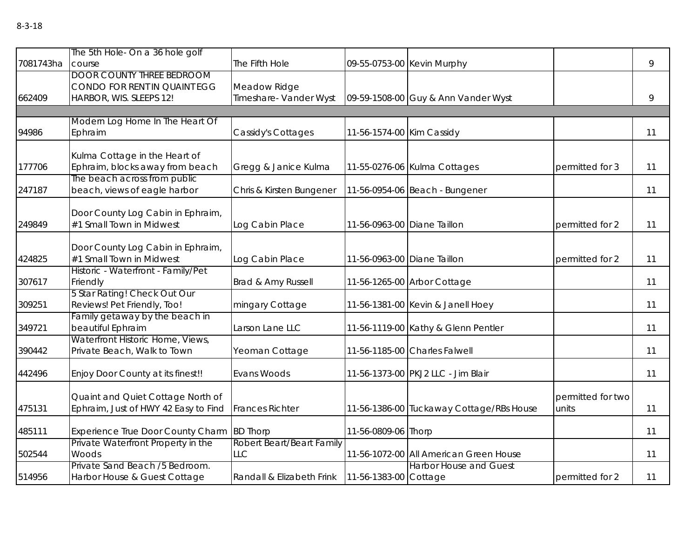| 7081743ha | The 5th Hole- On a 36 hole golf<br>course                                                   | The Fifth Hole                                    |                             | 09-55-0753-00 Kevin Murphy               |                            | 9  |
|-----------|---------------------------------------------------------------------------------------------|---------------------------------------------------|-----------------------------|------------------------------------------|----------------------------|----|
| 662409    | <b>DOOR COUNTY THREE BEDROOM</b><br>CONDO FOR RENT IN QUAINT EGG<br>HARBOR, WIS. SLEEPS 12! | Meadow Ridge<br>Timeshare- Vander Wyst            |                             | 09-59-1508-00 Guy & Ann Vander Wyst      |                            | 9  |
|           |                                                                                             |                                                   |                             |                                          |                            |    |
| 94986     | Modern Log Home In The Heart Of<br>Ephraim                                                  | Cassidy's Cottages                                | 11-56-1574-00 Kim Cassidy   |                                          |                            | 11 |
| 177706    | Kulma Cottage in the Heart of<br>Ephraim, blocks away from beach                            | Gregg & Janice Kulma                              |                             | 11-55-0276-06 Kulma Cottages             | permitted for 3            | 11 |
| 247187    | The beach across from public<br>beach, views of eagle harbor                                | Chris & Kirsten Bungener                          |                             | 11-56-0954-06 Beach - Bungener           |                            | 11 |
| 249849    | Door County Log Cabin in Ephraim,<br>#1 Small Town in Midwest                               | Log Cabin Place                                   | 11-56-0963-00 Diane Taillon |                                          | permitted for 2            | 11 |
| 424825    | Door County Log Cabin in Ephraim,<br>#1 Small Town in Midwest                               | Log Cabin Place                                   | 11-56-0963-00 Diane Taillon |                                          | permitted for 2            | 11 |
| 307617    | Historic - Waterfront - Family/Pet<br>Friendly                                              | Brad & Amy Russell                                |                             | 11-56-1265-00 Arbor Cottage              |                            | 11 |
| 309251    | 5 Star Rating! Check Out Our<br>Reviews! Pet Friendly, Too!                                 | mingary Cottage                                   |                             | 11-56-1381-00 Kevin & Janell Hoey        |                            | 11 |
| 349721    | Family getaway by the beach in<br>beautiful Ephraim                                         | Larson Lane LLC                                   |                             | 11-56-1119-00 Kathy & Glenn Pentler      |                            | 11 |
| 390442    | Waterfront Historic Home, Views,<br>Private Beach, Walk to Town                             | Yeoman Cottage                                    |                             | 11-56-1185-00 Charles Falwell            |                            | 11 |
| 442496    | Enjoy Door County at its finest!!                                                           | Evans Woods                                       |                             | 11-56-1373-00 PKJ2 LLC - Jim Blair       |                            | 11 |
| 475131    | Quaint and Quiet Cottage North of<br>Ephraim, Just of HWY 42 Easy to Find                   | <b>Frances Richter</b>                            |                             | 11-56-1386-00 Tuckaway Cottage/RBs House | permitted for two<br>units | 11 |
| 485111    | Experience True Door County Charm BD Thorp                                                  |                                                   | 11-56-0809-06 Thorp         |                                          |                            | 11 |
| 502544    | Private Waterfront Property in the<br>Woods                                                 | Robert Beart/Beart Family<br><b>LLC</b>           |                             | 11-56-1072-00 All American Green House   |                            | 11 |
| 514956    | Private Sand Beach /5 Bedroom.<br>Harbor House & Guest Cottage                              | Randall & Elizabeth Frink   11-56-1383-00 Cottage |                             | <b>Harbor House and Guest</b>            | permitted for 2            | 11 |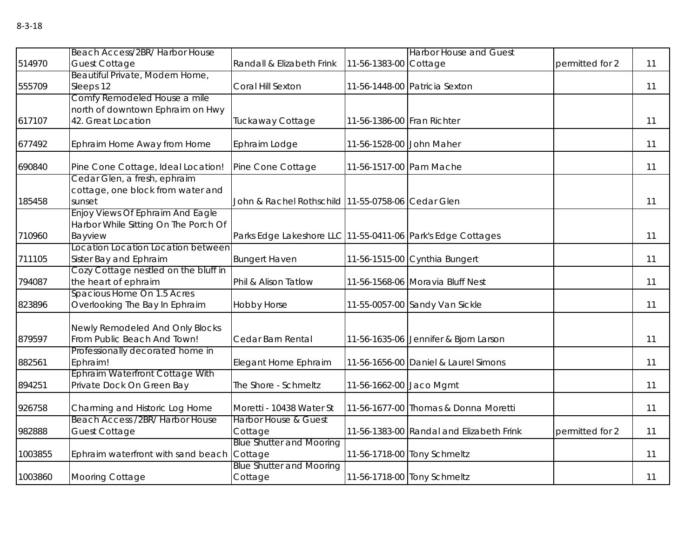|         | Beach Access/2BR/ Harbor House                               |                                                             |                            | <b>Harbor House and Guest</b>            |                 |    |
|---------|--------------------------------------------------------------|-------------------------------------------------------------|----------------------------|------------------------------------------|-----------------|----|
| 514970  | <b>Guest Cottage</b>                                         | Randall & Elizabeth Frink                                   | 11-56-1383-00 Cottage      |                                          | permitted for 2 | 11 |
|         | Beautiful Private, Modern Home,                              |                                                             |                            |                                          |                 |    |
| 555709  | Sleeps 12                                                    | Coral Hill Sexton                                           |                            | 11-56-1448-00 Patricia Sexton            |                 | 11 |
|         | Comfy Remodeled House a mile                                 |                                                             |                            |                                          |                 |    |
|         | north of downtown Ephraim on Hwy                             |                                                             |                            |                                          |                 |    |
| 617107  | 42. Great Location                                           | Tuckaway Cottage                                            | 11-56-1386-00 Fran Richter |                                          |                 | 11 |
| 677492  | Ephraim Home Away from Home                                  | Ephraim Lodge                                               | 11-56-1528-00 John Maher   |                                          |                 | 11 |
| 690840  | Pine Cone Cottage, Ideal Location!                           | Pine Cone Cottage                                           | 11-56-1517-00 Pam Mache    |                                          |                 | 11 |
|         | Cedar Glen, a fresh, ephraim                                 |                                                             |                            |                                          |                 |    |
|         | cottage, one block from water and                            |                                                             |                            |                                          |                 |    |
| 185458  | sunset                                                       | John & Rachel Rothschild 11-55-0758-06 Cedar Glen           |                            |                                          |                 | 11 |
|         | Enjoy Views Of Ephraim And Eagle                             |                                                             |                            |                                          |                 |    |
|         | Harbor While Sitting On The Porch Of                         |                                                             |                            |                                          |                 |    |
| 710960  | Bayview                                                      | Parks Edge Lakeshore LLC 11-55-0411-06 Park's Edge Cottages |                            |                                          |                 | 11 |
|         | Location Location Location between                           |                                                             |                            |                                          |                 |    |
| 711105  | Sister Bay and Ephraim                                       | <b>Bungert Haven</b>                                        |                            | 11-56-1515-00 Cynthia Bungert            |                 | 11 |
| 794087  | Cozy Cottage nestled on the bluff in<br>the heart of ephraim | Phil & Alison Tatlow                                        |                            | 11-56-1568-06 Moravia Bluff Nest         |                 | 11 |
|         | Spacious Home On 1.5 Acres                                   |                                                             |                            |                                          |                 |    |
| 823896  | Overlooking The Bay In Ephraim                               | <b>Hobby Horse</b>                                          |                            | 11-55-0057-00 Sandy Van Sickle           |                 | 11 |
|         |                                                              |                                                             |                            |                                          |                 |    |
|         | Newly Remodeled And Only Blocks                              |                                                             |                            |                                          |                 |    |
| 879597  | From Public Beach And Town!                                  | Cedar Barn Rental                                           |                            | 11-56-1635-06 Jennifer & Bjorn Larson    |                 | 11 |
|         | Professionally decorated home in                             |                                                             |                            |                                          |                 |    |
| 882561  | Ephraim!                                                     | Elegant Home Ephraim                                        |                            | 11-56-1656-00 Daniel & Laurel Simons     |                 | 11 |
|         | Ephraim Waterfront Cottage With                              |                                                             |                            |                                          |                 |    |
| 894251  | Private Dock On Green Bay                                    | The Shore - Schmeltz                                        | 11-56-1662-00 Jaco Mgmt    |                                          |                 | 11 |
| 926758  | Charming and Historic Log Home                               | Moretti - 10438 Water St                                    |                            | 11-56-1677-00 Thomas & Donna Moretti     |                 | 11 |
|         | Beach Access /2BR/ Harbor House                              | <b>Harbor House &amp; Guest</b>                             |                            |                                          |                 |    |
| 982888  | <b>Guest Cottage</b>                                         | Cottage                                                     |                            | 11-56-1383-00 Randal and Elizabeth Frink | permitted for 2 | 11 |
|         |                                                              | <b>Blue Shutter and Mooring</b>                             |                            |                                          |                 |    |
| 1003855 | Ephraim waterfront with sand beach                           | Cottage                                                     |                            | 11-56-1718-00 Tony Schmeltz              |                 | 11 |
|         |                                                              | <b>Blue Shutter and Mooring</b>                             |                            |                                          |                 |    |
| 1003860 | <b>Mooring Cottage</b>                                       | Cottage                                                     |                            | 11-56-1718-00 Tony Schmeltz              |                 | 11 |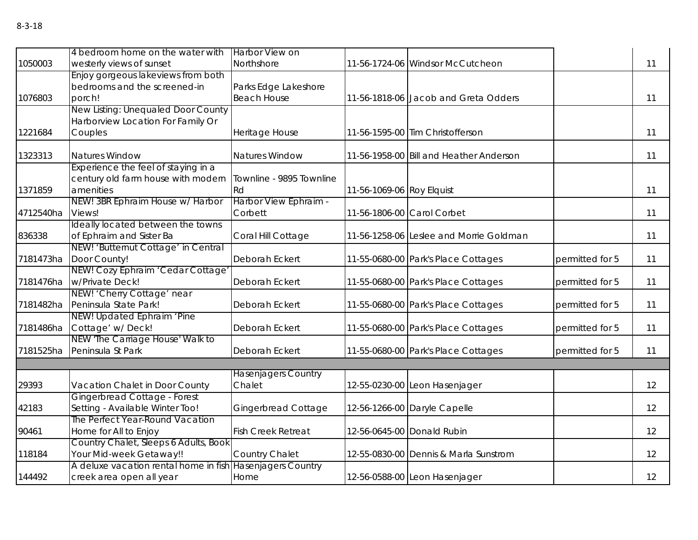| 1050003   | 4 bedroom home on the water with<br>westerly views of sunset                                                               | Harbor View on<br>Northshore                            |                            | 11-56-1724-06 Windsor McCutcheon        |                 | 11 |
|-----------|----------------------------------------------------------------------------------------------------------------------------|---------------------------------------------------------|----------------------------|-----------------------------------------|-----------------|----|
| 1076803   | Enjoy gorgeous lakeviews from both<br>bedrooms and the screened-in<br>porch!                                               | Parks Edge Lakeshore<br><b>Beach House</b>              |                            | 11-56-1818-06 Jacob and Greta Odders    |                 | 11 |
| 1221684   | New Listing: Unequaled Door County<br>Harborview Location For Family Or<br>Couples                                         | Heritage House                                          |                            | 11-56-1595-00 Tim Christofferson        |                 | 11 |
| 1323313   | <b>Natures Window</b>                                                                                                      | Natures Window                                          |                            | 11-56-1958-00 Bill and Heather Anderson |                 | 11 |
| 1371859   | Experience the feel of staying in a<br>century old farm house with modern<br>amenities<br>NEW! 3BR Ephraim House w/ Harbor | Townline - 9895 Townline<br>Rd<br>Harbor View Ephraim - | 11-56-1069-06 Roy Elquist  |                                         |                 | 11 |
| 4712540ha | Views!                                                                                                                     | Corbett                                                 | 11-56-1806-00 Carol Corbet |                                         |                 | 11 |
| 836338    | Ideally located between the towns<br>of Ephraim and Sister Ba                                                              | Coral Hill Cottage                                      |                            | 11-56-1258-06 Leslee and Morrie Goldman |                 | 11 |
| 7181473ha | NEW! 'Butternut Cottage' in Central<br>Door County!                                                                        | Deborah Eckert                                          |                            | 11-55-0680-00 Park's Place Cottages     | permitted for 5 | 11 |
| 7181476ha | NEW! Cozy Ephraim 'Cedar Cottage'<br>w/Private Deck!                                                                       | Deborah Eckert                                          |                            | 11-55-0680-00 Park's Place Cottages     | permitted for 5 | 11 |
| 7181482ha | NEW! 'Cherry Cottage' near<br>Peninsula State Park!                                                                        | Deborah Eckert                                          |                            | 11-55-0680-00 Park's Place Cottages     | permitted for 5 | 11 |
| 7181486ha | NEW! Updated Ephraim 'Pine<br>Cottage' w/Deck!                                                                             | Deborah Eckert                                          |                            | 11-55-0680-00 Park's Place Cottages     | permitted for 5 | 11 |
| 7181525ha | NEW 'The Carriage House' Walk to<br>Peninsula St Park                                                                      | Deborah Eckert                                          |                            | 11-55-0680-00 Park's Place Cottages     | permitted for 5 | 11 |
|           |                                                                                                                            |                                                         |                            |                                         |                 |    |
| 29393     | Vacation Chalet in Door County                                                                                             | <b>Hasenjagers Country</b><br>Chalet                    |                            | 12-55-0230-00 Leon Hasenjager           |                 | 12 |
| 42183     | Gingerbread Cottage - Forest<br>Setting - Available Winter Too!                                                            | <b>Gingerbread Cottage</b>                              |                            | 12-56-1266-00 Daryle Capelle            |                 | 12 |
| 90461     | The Perfect Year-Round Vacation<br>Home for All to Enjoy                                                                   | <b>Fish Creek Retreat</b>                               |                            | 12-56-0645-00 Donald Rubin              |                 | 12 |
| 118184    | Country Chalet, Sleeps 6 Adults, Book<br>Your Mid-week Getaway!!                                                           | Country Chalet                                          |                            | 12-55-0830-00 Dennis & Marla Sunstrom   |                 | 12 |
| 144492    | A deluxe vacation rental home in fish Hasenjagers Country<br>creek area open all year                                      | Home                                                    |                            | 12-56-0588-00 Leon Hasenjager           |                 | 12 |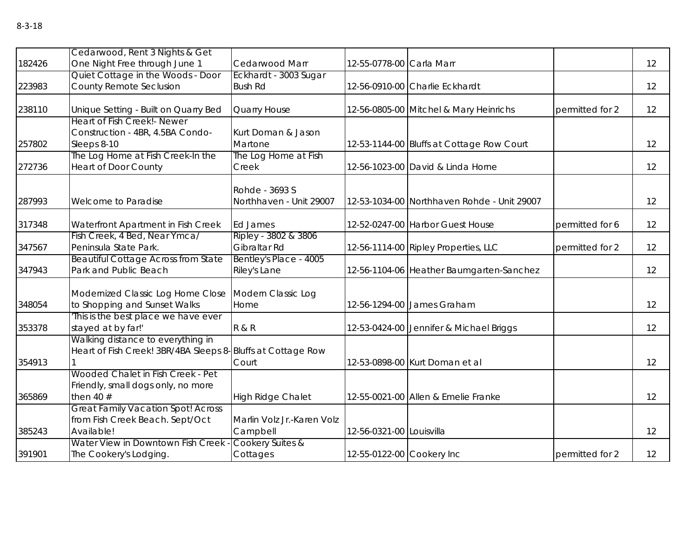| 182426 | Cedarwood, Rent 3 Nights & Get<br>One Night Free through June 1 | Cedarwood Marr             | 12-55-0778-00 Carla Marr  |                                             |                 | 12 |
|--------|-----------------------------------------------------------------|----------------------------|---------------------------|---------------------------------------------|-----------------|----|
|        | Quiet Cottage in the Woods - Door                               | Eckhardt - 3003 Sugar      |                           |                                             |                 |    |
| 223983 | County Remote Seclusion                                         | <b>Bush Rd</b>             |                           | 12-56-0910-00 Charlie Eckhardt              |                 | 12 |
|        |                                                                 |                            |                           |                                             |                 |    |
| 238110 | Unique Setting - Built on Quarry Bed                            | Quarry House               |                           | 12-56-0805-00 Mitchel & Mary Heinrichs      | permitted for 2 | 12 |
|        | Heart of Fish Creek! - Newer                                    |                            |                           |                                             |                 |    |
|        | Construction - 4BR, 4.5BA Condo-                                | Kurt Doman & Jason         |                           |                                             |                 |    |
| 257802 | Sleeps 8-10                                                     | Martone                    |                           | 12-53-1144-00 Bluffs at Cottage Row Court   |                 | 12 |
|        | The Log Home at Fish Creek-In the                               | The Log Home at Fish       |                           |                                             |                 |    |
| 272736 | <b>Heart of Door County</b>                                     | Creek                      |                           | 12-56-1023-00 David & Linda Horne           |                 | 12 |
|        |                                                                 | Rohde - 3693 S             |                           |                                             |                 |    |
| 287993 | Welcome to Paradise                                             | Northhaven - Unit 29007    |                           | 12-53-1034-00 Northhaven Rohde - Unit 29007 |                 | 12 |
|        |                                                                 |                            |                           |                                             |                 |    |
| 317348 | Waterfront Apartment in Fish Creek                              | Ed James                   |                           | 12-52-0247-00 Harbor Guest House            | permitted for 6 | 12 |
|        | Fish Creek, 4 Bed, Near Ymca/                                   | Ripley - 3802 & 3806       |                           |                                             |                 |    |
| 347567 | Peninsula State Park.                                           | Gibraltar Rd               |                           | 12-56-1114-00 Ripley Properties, LLC        | permitted for 2 | 12 |
|        | <b>Beautiful Cottage Across from State</b>                      | Bentley's Place - 4005     |                           |                                             |                 |    |
| 347943 | Park and Public Beach                                           | Riley's Lane               |                           | 12-56-1104-06 Heather Baumgarten-Sanchez    |                 | 12 |
|        |                                                                 |                            |                           |                                             |                 |    |
|        | Modernized Classic Log Home Close                               | Modern Classic Log         |                           |                                             |                 |    |
| 348054 | to Shopping and Sunset Walks                                    | Home                       |                           | 12-56-1294-00 James Graham                  |                 | 12 |
|        | 'This is the best place we have ever                            |                            |                           |                                             |                 |    |
| 353378 | stayed at by far!'<br>Walking distance to everything in         | <b>R &amp; R</b>           |                           | 12-53-0424-00 Jennifer & Michael Briggs     |                 | 12 |
|        | Heart of Fish Creek! 3BR/4BA Sleeps 8- Bluffs at Cottage Row    |                            |                           |                                             |                 |    |
| 354913 |                                                                 | Court                      |                           | 12-53-0898-00 Kurt Doman et al              |                 | 12 |
|        | Wooded Chalet in Fish Creek - Pet                               |                            |                           |                                             |                 |    |
|        | Friendly, small dogs only, no more                              |                            |                           |                                             |                 |    |
| 365869 | then 40 $#$                                                     | <b>High Ridge Chalet</b>   |                           | 12-55-0021-00 Allen & Emelie Franke         |                 | 12 |
|        | <b>Great Family Vacation Spot! Across</b>                       |                            |                           |                                             |                 |    |
|        | from Fish Creek Beach. Sept/Oct                                 | Marlin Volz Jr.-Karen Volz |                           |                                             |                 |    |
| 385243 | Available!                                                      | Campbell                   | 12-56-0321-00 Louisvilla  |                                             |                 | 12 |
|        | Water View in Downtown Fish Creek -                             | Cookery Suites &           |                           |                                             |                 |    |
| 391901 | The Cookery's Lodging.                                          | Cottages                   | 12-55-0122-00 Cookery Inc |                                             | permitted for 2 | 12 |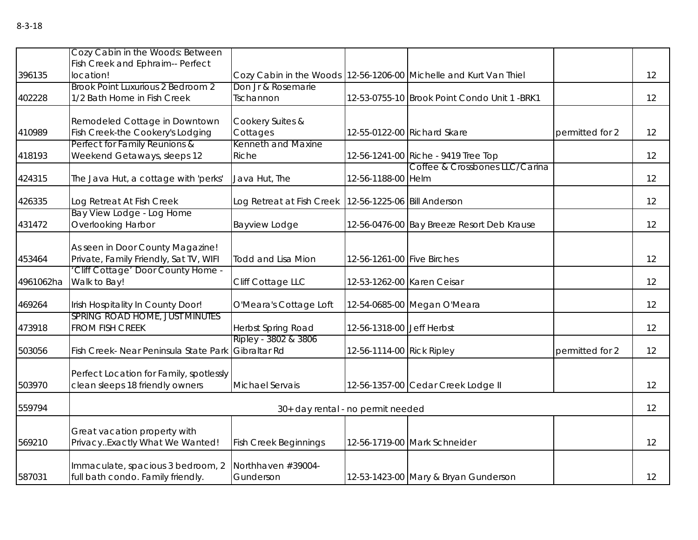|           | Cozy Cabin in the Woods: Between<br>Fish Creek and Ephraim-- Perfect       |                                      |                             |                                                                   |                 |    |
|-----------|----------------------------------------------------------------------------|--------------------------------------|-----------------------------|-------------------------------------------------------------------|-----------------|----|
| 396135    | location!                                                                  |                                      |                             | Cozy Cabin in the Woods 12-56-1206-00 Michelle and Kurt Van Thiel |                 | 12 |
| 402228    | <b>Brook Point Luxurious 2 Bedroom 2</b><br>1/2 Bath Home in Fish Creek    | Don Jr & Rosemarie<br>Tschannon      |                             | 12-53-0755-10 Brook Point Condo Unit 1 -BRK1                      |                 | 12 |
| 410989    | Remodeled Cottage in Downtown<br>Fish Creek-the Cookery's Lodging          | Cookery Suites &<br>Cottages         |                             | 12-55-0122-00 Richard Skare                                       | permitted for 2 | 12 |
| 418193    | Perfect for Family Reunions &<br>Weekend Getaways, sleeps 12               | Kenneth and Maxine<br>Riche          |                             | 12-56-1241-00 Riche - 9419 Tree Top                               |                 | 12 |
| 424315    | The Java Hut, a cottage with 'perks'                                       | Java Hut, The                        | 12-56-1188-00 Helm          | Coffee & Crossbones LLC/Carina                                    |                 | 12 |
| 426335    | Log Retreat At Fish Creek                                                  | Log Retreat at Fish Creek            | 12-56-1225-06 Bill Anderson |                                                                   |                 | 12 |
| 431472    | Bay View Lodge - Log Home<br>Overlooking Harbor                            | <b>Bayview Lodge</b>                 |                             | 12-56-0476-00 Bay Breeze Resort Deb Krause                        |                 | 12 |
| 453464    | As seen in Door County Magazine!<br>Private, Family Friendly, Sat TV, WIFI | <b>Todd and Lisa Mion</b>            | 12-56-1261-00 Five Birches  |                                                                   |                 | 12 |
| 4961062ha | 'Cliff Cottage' Door County Home -<br>Walk to Bay!                         | Cliff Cottage LLC                    | 12-53-1262-00 Karen Ceisar  |                                                                   |                 | 12 |
| 469264    | Irish Hospitality In County Door!                                          | O'Meara's Cottage Loft               |                             | 12-54-0685-00 Megan O'Meara                                       |                 | 12 |
| 473918    | SPRING ROAD HOME, JUST MINUTES<br><b>FROM FISH CREEK</b>                   | Herbst Spring Road                   | 12-56-1318-00 Jeff Herbst   |                                                                   |                 | 12 |
| 503056    | Fish Creek- Near Peninsula State Park                                      | Ripley - 3802 & 3806<br>Gibraltar Rd | 12-56-1114-00 Rick Ripley   |                                                                   | permitted for 2 | 12 |
| 503970    | Perfect Location for Family, spotlessly<br>clean sleeps 18 friendly owners | Michael Servais                      |                             | 12-56-1357-00 Cedar Creek Lodge II                                |                 | 12 |
| 559794    |                                                                            | 30+ day rental - no permit needed    |                             |                                                                   |                 | 12 |
| 569210    | Great vacation property with<br>PrivacyExactly What We Wanted!             | <b>Fish Creek Beginnings</b>         |                             | 12-56-1719-00 Mark Schneider                                      |                 | 12 |
| 587031    | Immaculate, spacious 3 bedroom, 2<br>full bath condo. Family friendly.     | Northhaven #39004-<br>Gunderson      |                             | 12-53-1423-00 Mary & Bryan Gunderson                              |                 | 12 |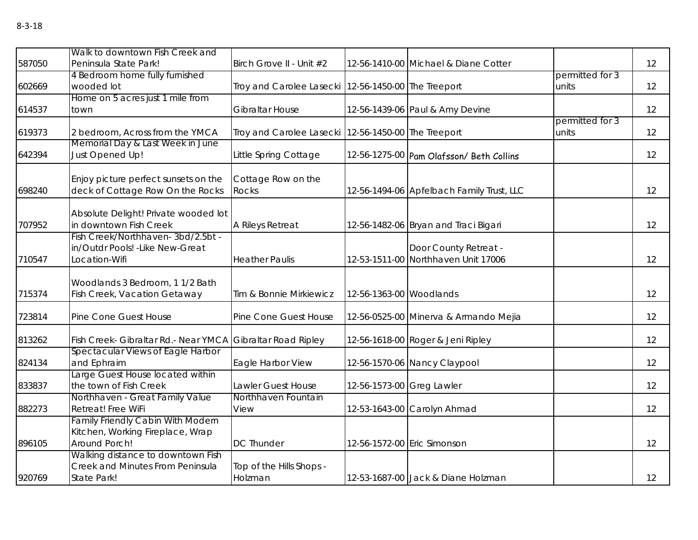| ۰,<br>۰,<br>×<br>× | ×<br>۰, |
|--------------------|---------|
|--------------------|---------|

| 587050 | Walk to downtown Fish Creek and<br>Peninsula State Park!                               | Birch Grove II - Unit #2                              |                           | 12-56-1410-00 Michael & Diane Cotter                         |                 | 12 |
|--------|----------------------------------------------------------------------------------------|-------------------------------------------------------|---------------------------|--------------------------------------------------------------|-----------------|----|
|        | 4 Bedroom home fully furnished                                                         |                                                       |                           |                                                              | permitted for 3 |    |
| 602669 | wooded lot                                                                             | Troy and Carolee Lasecki   12-56-1450-00 The Treeport |                           |                                                              | units           | 12 |
| 614537 | Home on 5 acres just 1 mile from<br>town                                               | Gibraltar House                                       |                           | 12-56-1439-06 Paul & Amy Devine                              |                 | 12 |
|        |                                                                                        |                                                       |                           |                                                              | permitted for 3 |    |
| 619373 | 2 bedroom, Across from the YMCA                                                        | Troy and Carolee Lasecki 12-56-1450-00 The Treeport   |                           |                                                              | units           | 12 |
| 642394 | Memorial Day & Last Week in June<br>Just Opened Up!                                    | Little Spring Cottage                                 |                           | 12-56-1275-00 Pam Olafsson/ Beth Collins                     |                 | 12 |
| 698240 | Enjoy picture perfect sunsets on the<br>deck of Cottage Row On the Rocks               | Cottage Row on the<br><b>Rocks</b>                    |                           | 12-56-1494-06 Apfelbach Family Trust, LLC                    |                 | 12 |
| 707952 | Absolute Delight! Private wooded lot<br>in downtown Fish Creek                         | A Rileys Retreat                                      |                           | 12-56-1482-06 Bryan and Traci Bigari                         |                 | 12 |
| 710547 | Fish Creek/Northhaven-3bd/2.5bt -<br>in/Outdr Pools! - Like New-Great<br>Location-Wifi | <b>Heather Paulis</b>                                 |                           | Door County Retreat -<br>12-53-1511-00 Northhaven Unit 17006 |                 | 12 |
| 715374 | Woodlands 3 Bedroom, 1 1/2 Bath<br>Fish Creek, Vacation Getaway                        | Tim & Bonnie Mirkiewicz                               | 12-56-1363-00 Woodlands   |                                                              |                 | 12 |
| 723814 | Pine Cone Guest House                                                                  | Pine Cone Guest House                                 |                           | 12-56-0525-00 Minerva & Armando Mejia                        |                 | 12 |
| 813262 | Fish Creek- Gibraltar Rd.- Near YMCA                                                   | Gibraltar Road Ripley                                 |                           | 12-56-1618-00 Roger & Jeni Ripley                            |                 | 12 |
| 824134 | Spectacular Views of Eagle Harbor<br>and Ephraim                                       | Eagle Harbor View                                     |                           | 12-56-1570-06 Nancy Claypool                                 |                 | 12 |
| 833837 | Large Guest House located within<br>the town of Fish Creek                             | Lawler Guest House                                    | 12-56-1573-00 Greg Lawler |                                                              |                 | 12 |
|        | Northhaven - Great Family Value                                                        | Northhaven Fountain                                   |                           |                                                              |                 |    |
| 882273 | Retreat! Free WiFi                                                                     | View                                                  |                           | 12-53-1643-00 Carolyn Ahmad                                  |                 | 12 |
|        | <b>Family Friendly Cabin With Modern</b>                                               |                                                       |                           |                                                              |                 |    |
|        | Kitchen, Working Fireplace, Wrap<br>Around Porch!                                      | <b>DC Thunder</b>                                     |                           |                                                              |                 | 12 |
| 896105 | Walking distance to downtown Fish                                                      |                                                       |                           | 12-56-1572-00 Eric Simonson                                  |                 |    |
|        | Creek and Minutes From Peninsula                                                       | Top of the Hills Shops -                              |                           |                                                              |                 |    |
| 920769 | <b>State Park!</b>                                                                     | Holzman                                               |                           | 12-53-1687-00 Jack & Diane Holzman                           |                 | 12 |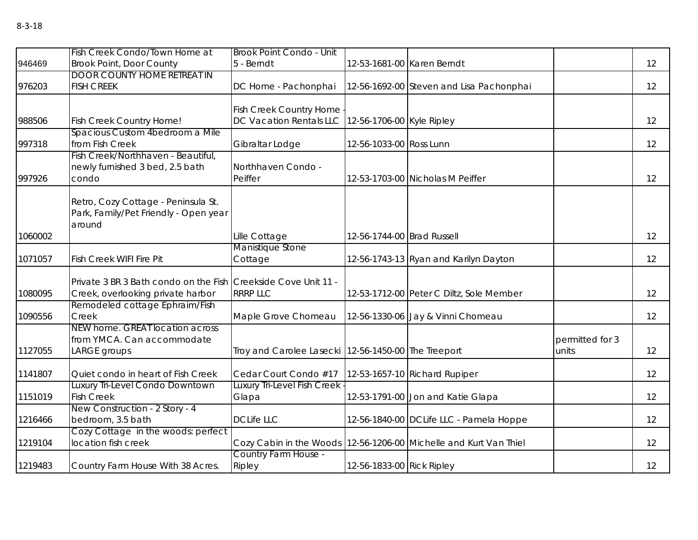|         | Fish Creek Condo/Town Home at                                                                       | Brook Point Condo - Unit                                                     |                            |                                                                   |                          |    |
|---------|-----------------------------------------------------------------------------------------------------|------------------------------------------------------------------------------|----------------------------|-------------------------------------------------------------------|--------------------------|----|
| 946469  | <b>Brook Point, Door County</b>                                                                     | 5 - Berndt                                                                   | 12-53-1681-00 Karen Berndt |                                                                   |                          | 12 |
| 976203  | <b>DOOR COUNTY HOME RETREAT IN</b><br><b>FISH CREEK</b>                                             | DC Home - Pachonphai                                                         |                            | 12-56-1692-00 Steven and Lisa Pachonphai                          |                          | 12 |
| 988506  | <b>Fish Creek Country Home!</b>                                                                     | Fish Creek Country Home<br>DC Vacation Rentals LLC 12-56-1706-00 Kyle Ripley |                            |                                                                   |                          | 12 |
| 997318  | Spacious Custom 4bedroom a Mile<br>from Fish Creek                                                  | Gibraltar Lodge                                                              | 12-56-1033-00 Ross Lunn    |                                                                   |                          | 12 |
| 997926  | Fish Creek/Northhaven - Beautiful,<br>newly furnished 3 bed, 2.5 bath<br>condo                      | Northhaven Condo -<br>Peiffer                                                |                            | 12-53-1703-00 Nicholas M Peiffer                                  |                          | 12 |
| 1060002 | Retro, Cozy Cottage - Peninsula St.<br>Park, Family/Pet Friendly - Open year<br>around              | Lille Cottage                                                                | 12-56-1744-00 Brad Russell |                                                                   |                          | 12 |
|         |                                                                                                     | Manistique Stone                                                             |                            |                                                                   |                          |    |
| 1071057 | <b>Fish Creek WIFI Fire Pit</b>                                                                     | Cottage                                                                      |                            | 12-56-1743-13 Ryan and Karilyn Dayton                             |                          | 12 |
| 1080095 | Private 3 BR 3 Bath condo on the Fish Creekside Cove Unit 11 -<br>Creek, overlooking private harbor | <b>RRRP LLC</b>                                                              |                            | 12-53-1712-00 Peter C Diltz, Sole Member                          |                          | 12 |
| 1090556 | Remodeled cottage Ephraim/Fish<br>Creek                                                             | Maple Grove Chomeau                                                          |                            | 12-56-1330-06 Jay & Vinni Chomeau                                 |                          | 12 |
| 1127055 | NEW home. GREAT location across<br>from YMCA. Can accommodate<br>LARGE groups                       | Troy and Carolee Lasecki   12-56-1450-00 The Treeport                        |                            |                                                                   | permitted for 3<br>units | 12 |
| 1141807 | Quiet condo in heart of Fish Creek                                                                  | Cedar Court Condo #17                                                        |                            | 12-53-1657-10 Richard Rupiper                                     |                          | 12 |
| 1151019 | Luxury Tri-Level Condo Downtown<br><b>Fish Creek</b>                                                | Luxury Tri-Level Fish Creek<br>Glapa                                         |                            | 12-53-1791-00 Jon and Katie Glapa                                 |                          | 12 |
| 1216466 | New Construction - 2 Story - 4<br>bedroom, 3.5 bath                                                 | <b>DCLife LLC</b>                                                            |                            | 12-56-1840-00 DCLife LLC - Pamela Hoppe                           |                          | 12 |
| 1219104 | Cozy Cottage in the woods: perfect<br>location fish creek                                           |                                                                              |                            | Cozy Cabin in the Woods 12-56-1206-00 Michelle and Kurt Van Thiel |                          | 12 |
| 1219483 | Country Farm House With 38 Acres.                                                                   | Country Farm House -<br>Ripley                                               | 12-56-1833-00 Rick Ripley  |                                                                   |                          | 12 |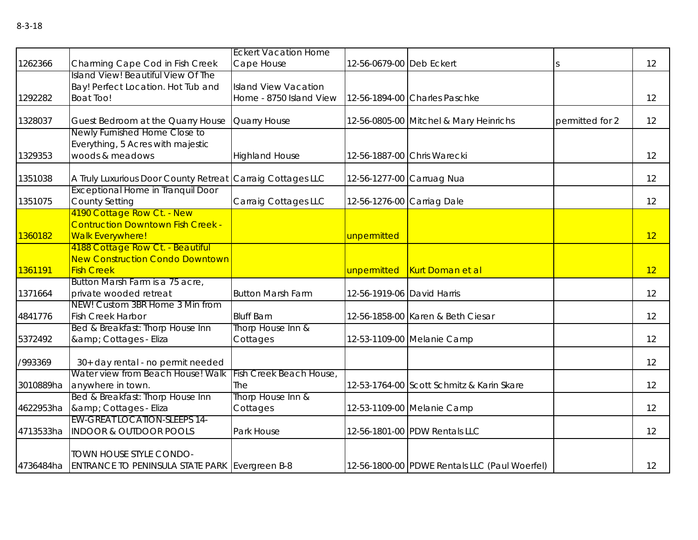|           |                                                            | <b>Eckert Vacation Home</b> |                            |                                               |                 |    |
|-----------|------------------------------------------------------------|-----------------------------|----------------------------|-----------------------------------------------|-----------------|----|
| 1262366   | Charming Cape Cod in Fish Creek                            | Cape House                  | 12-56-0679-00 Deb Eckert   |                                               |                 | 12 |
|           | Island View! Beautiful View Of The                         |                             |                            |                                               |                 |    |
|           | Bay! Perfect Location. Hot Tub and                         | <b>Island View Vacation</b> |                            |                                               |                 |    |
| 1292282   | <b>Boat Too!</b>                                           | Home - 8750 Island View     |                            | 12-56-1894-00 Charles Paschke                 |                 | 12 |
|           |                                                            |                             |                            |                                               |                 |    |
| 1328037   | Guest Bedroom at the Quarry House                          | Quarry House                |                            | 12-56-0805-00 Mitchel & Mary Heinrichs        | permitted for 2 | 12 |
|           | Newly Furnished Home Close to                              |                             |                            |                                               |                 |    |
|           | Everything, 5 Acres with majestic                          |                             |                            |                                               |                 |    |
| 1329353   | woods & meadows                                            | <b>Highland House</b>       |                            | 12-56-1887-00 Chris Warecki                   |                 | 12 |
|           |                                                            |                             |                            |                                               |                 |    |
| 1351038   | A Truly Luxurious Door County Retreat Carraig Cottages LLC |                             |                            | 12-56-1277-00 Carruag Nua                     |                 | 12 |
|           | <b>Exceptional Home in Tranquil Door</b>                   |                             |                            |                                               |                 |    |
| 1351075   | <b>County Setting</b>                                      | Carraig Cottages LLC        | 12-56-1276-00 Carriag Dale |                                               |                 | 12 |
|           | 4190 Cottage Row Ct. - New                                 |                             |                            |                                               |                 |    |
|           | <b>Contruction Downtown Fish Creek -</b>                   |                             |                            |                                               |                 |    |
| 1360182   | <b>Walk Everywhere!</b>                                    |                             | unpermitted                |                                               |                 | 12 |
|           | 4188 Cottage Row Ct. - Beautiful                           |                             |                            |                                               |                 |    |
|           | <b>New Construction Condo Downtown</b>                     |                             |                            |                                               |                 |    |
| 1361191   | <b>Fish Creek</b>                                          |                             | unpermitted                | <b>Kurt Doman et al</b>                       |                 | 12 |
|           | Button Marsh Farm is a 75 acre,                            |                             |                            |                                               |                 |    |
| 1371664   | private wooded retreat                                     | <b>Button Marsh Farm</b>    | 12-56-1919-06 David Harris |                                               |                 | 12 |
|           | NEW! Custom 3BR Home 3 Min from                            |                             |                            |                                               |                 |    |
| 4841776   | <b>Fish Creek Harbor</b>                                   | <b>Bluff Barn</b>           |                            | 12-56-1858-00 Karen & Beth Ciesar             |                 | 12 |
|           | Bed & Breakfast: Thorp House Inn                           | Thorp House Inn &           |                            |                                               |                 |    |
| 5372492   | & Cottages - Eliza                                         | Cottages                    |                            | 12-53-1109-00 Melanie Camp                    |                 | 12 |
|           |                                                            |                             |                            |                                               |                 |    |
| /993369   | 30+ day rental - no permit needed                          |                             |                            |                                               |                 | 12 |
|           | Water view from Beach House! Walk                          | Fish Creek Beach House,     |                            |                                               |                 |    |
| 3010889ha | anywhere in town.                                          | The                         |                            | 12-53-1764-00 Scott Schmitz & Karin Skare     |                 | 12 |
|           | Bed & Breakfast: Thorp House Inn                           | Thorp House Inn &           |                            |                                               |                 |    |
| 4622953ha | & Cottages - Eliza<br><b>EW-GREAT LOCATION-SLEEPS 14-</b>  | Cottages                    |                            | 12-53-1109-00 Melanie Camp                    |                 | 12 |
|           |                                                            |                             |                            |                                               |                 |    |
| 4713533ha | <b>INDOOR &amp; OUTDOOR POOLS</b>                          | Park House                  |                            | 12-56-1801-00 PDW Rentals LLC                 |                 | 12 |
|           | TOWN HOUSE STYLE CONDO-                                    |                             |                            |                                               |                 |    |
|           | 4736484ha ENTRANCE TO PENINSULA STATE PARK Evergreen B-8   |                             |                            | 12-56-1800-00 PDWE Rentals LLC (Paul Woerfel) |                 | 12 |
|           |                                                            |                             |                            |                                               |                 |    |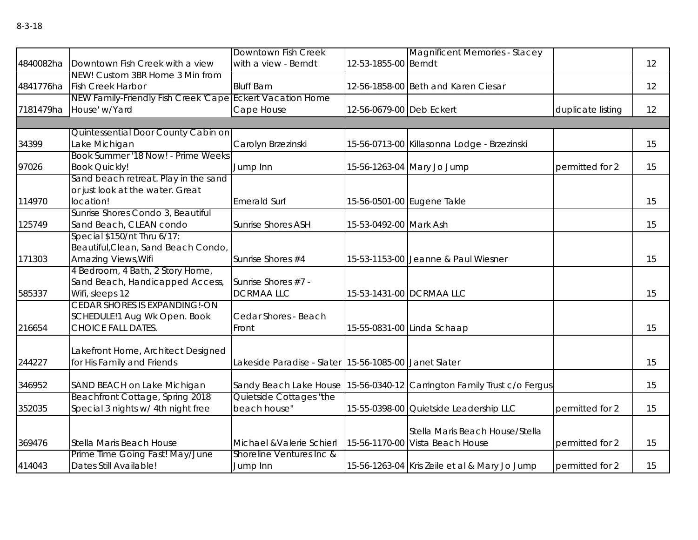|        |                                                           | Downtown Fish Creek                                   |                          | <b>Magnificent Memories - Stacey</b>                                    |                   |    |
|--------|-----------------------------------------------------------|-------------------------------------------------------|--------------------------|-------------------------------------------------------------------------|-------------------|----|
|        | 4840082ha Downtown Fish Creek with a view                 | with a view - Berndt                                  | 12-53-1855-00 Berndt     |                                                                         |                   | 12 |
|        | NEW! Custom 3BR Home 3 Min from                           |                                                       |                          |                                                                         |                   |    |
|        | 4841776ha Fish Creek Harbor                               | <b>Bluff Barn</b>                                     |                          | 12-56-1858-00 Beth and Karen Ciesar                                     |                   | 12 |
|        | NEW Family-Friendly Fish Creek 'Cape Eckert Vacation Home |                                                       |                          |                                                                         |                   |    |
|        | 7181479ha House' w/Yard                                   | Cape House                                            | 12-56-0679-00 Deb Eckert |                                                                         | duplicate listing | 12 |
|        |                                                           |                                                       |                          |                                                                         |                   |    |
|        | Quintessential Door County Cabin on                       |                                                       |                          |                                                                         |                   |    |
| 34399  | Lake Michigan                                             | Carolyn Brzezinski                                    |                          | 15-56-0713-00 Killasonna Lodge - Brzezinski                             |                   | 15 |
|        | Book Summer '18 Now! - Prime Weeks                        |                                                       |                          |                                                                         |                   |    |
| 97026  | <b>Book Quickly!</b>                                      | Jump Inn                                              |                          | 15-56-1263-04 Mary Jo Jump                                              | permitted for 2   | 15 |
|        | Sand beach retreat. Play in the sand                      |                                                       |                          |                                                                         |                   |    |
|        | or just look at the water. Great                          |                                                       |                          |                                                                         |                   |    |
| 114970 | location!                                                 | <b>Emerald Surf</b>                                   |                          | 15-56-0501-00 Eugene Takle                                              |                   | 15 |
|        | Sunrise Shores Condo 3, Beautiful                         |                                                       |                          |                                                                         |                   |    |
| 125749 | Sand Beach, CLEAN condo                                   | <b>Sunrise Shores ASH</b>                             | 15-53-0492-00 Mark Ash   |                                                                         |                   | 15 |
|        | Special \$150/nt Thru 6/17:                               |                                                       |                          |                                                                         |                   |    |
|        | Beautiful, Clean, Sand Beach Condo,                       |                                                       |                          |                                                                         |                   |    |
| 171303 | Amazing Views, Wifi<br>4 Bedroom, 4 Bath, 2 Story Home,   | Sunrise Shores #4                                     |                          | 15-53-1153-00 Jeanne & Paul Wiesner                                     |                   | 15 |
|        | Sand Beach, Handicapped Access,                           | Sunrise Shores #7 -                                   |                          |                                                                         |                   |    |
| 585337 | Wifi, sleeps 12                                           | <b>DCRMAALLC</b>                                      |                          | 15-53-1431-00 DCRMAA LLC                                                |                   | 15 |
|        | <b>CEDAR SHORES IS EXPANDING!-ON</b>                      |                                                       |                          |                                                                         |                   |    |
|        | SCHEDULE!1 Aug Wk Open. Book                              | Cedar Shores - Beach                                  |                          |                                                                         |                   |    |
| 216654 | <b>CHOICE FALL DATES.</b>                                 | Front                                                 |                          | 15-55-0831-00 Linda Schaap                                              |                   | 15 |
|        |                                                           |                                                       |                          |                                                                         |                   |    |
|        | Lakefront Home, Architect Designed                        |                                                       |                          |                                                                         |                   |    |
| 244227 | for His Family and Friends                                | Lakeside Paradise - Slater 15-56-1085-00 Janet Slater |                          |                                                                         |                   | 15 |
|        |                                                           |                                                       |                          |                                                                         |                   |    |
| 346952 | SAND BEACH on Lake Michigan                               |                                                       |                          | Sandy Beach Lake House 15-56-0340-12 Carrington Family Trust c/o Fergus |                   | 15 |
|        | Beachfront Cottage, Spring 2018                           | Quietside Cottages "the                               |                          |                                                                         |                   |    |
| 352035 | Special 3 nights w/ 4th night free                        | beach house"                                          |                          | 15-55-0398-00 Quietside Leadership LLC                                  | permitted for 2   | 15 |
|        |                                                           |                                                       |                          |                                                                         |                   |    |
|        |                                                           |                                                       |                          | Stella Maris Beach House/Stella                                         |                   |    |
| 369476 | Stella Maris Beach House                                  | Michael & Valerie Schierl                             |                          | 15-56-1170-00 Vista Beach House                                         | permitted for 2   | 15 |
|        | Prime Time Going Fast! May/June                           | Shoreline Ventures Inc &                              |                          |                                                                         |                   |    |
| 414043 | Dates Still Available!                                    | Jump Inn                                              |                          | 15-56-1263-04 Kris Zeile et al & Mary Jo Jump                           | permitted for 2   | 15 |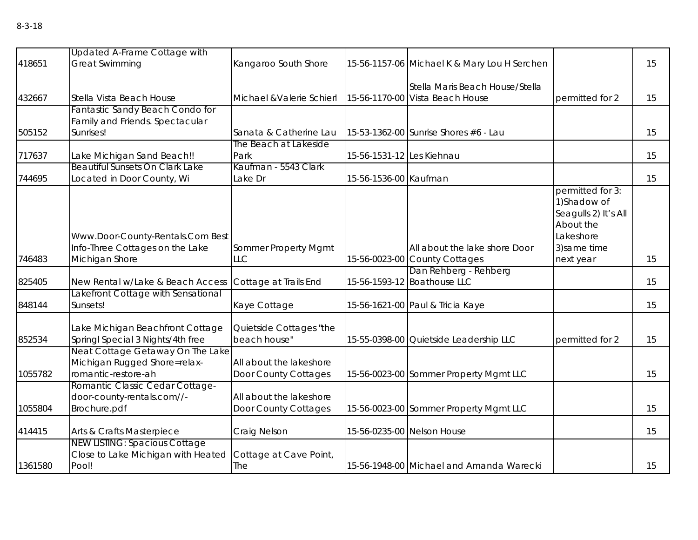|         | Updated A-Frame Cottage with                                                                                               |                                                 |                           |                                                                    |                                                                                                                 |    |
|---------|----------------------------------------------------------------------------------------------------------------------------|-------------------------------------------------|---------------------------|--------------------------------------------------------------------|-----------------------------------------------------------------------------------------------------------------|----|
| 418651  | <b>Great Swimming</b>                                                                                                      | Kangaroo South Shore                            |                           | 15-56-1157-06 Michael K & Mary Lou H Serchen                       |                                                                                                                 | 15 |
| 432667  | Stella Vista Beach House                                                                                                   | Michael & Valerie Schierl                       |                           | Stella Maris Beach House/Stella<br>15-56-1170-00 Vista Beach House | permitted for 2                                                                                                 | 15 |
|         | Fantastic Sandy Beach Condo for<br>Family and Friends. Spectacular                                                         |                                                 |                           |                                                                    |                                                                                                                 |    |
| 505152  | Sunrises!                                                                                                                  | Sanata & Catherine Lau                          |                           | 15-53-1362-00 Sunrise Shores #6 - Lau                              |                                                                                                                 | 15 |
| 717637  | Lake Michigan Sand Beach!!                                                                                                 | The Beach at Lakeside<br>Park                   | 15-56-1531-12 Les Kiehnau |                                                                    |                                                                                                                 | 15 |
| 744695  | <b>Beautiful Sunsets On Clark Lake</b><br>Located in Door County, Wi                                                       | Kaufman - 5543 Clark<br>Lake Dr                 | 15-56-1536-00 Kaufman     |                                                                    |                                                                                                                 | 15 |
| 746483  | Www.Door-County-Rentals.Com Best<br>Info-Three Cottages on the Lake<br>Michigan Shore                                      | Sommer Property Mgmt<br><b>LLC</b>              |                           | All about the lake shore Door<br>15-56-0023-00 County Cottages     | permitted for 3:<br>1) Shadow of<br>Seagulls 2) It's All<br>About the<br>Lakeshore<br>3) same time<br>next year | 15 |
| 825405  | New Rental w/Lake & Beach Access                                                                                           | Cottage at Trails End                           |                           | Dan Rehberg - Rehberg<br>15-56-1593-12 Boathouse LLC               |                                                                                                                 | 15 |
| 848144  | Lakefront Cottage with Sensational<br>Sunsets!                                                                             | Kaye Cottage                                    |                           | 15-56-1621-00 Paul & Tricia Kaye                                   |                                                                                                                 | 15 |
| 852534  | Lake Michigan Beachfront Cottage<br>Springl Special 3 Nights/4th free                                                      | Quietside Cottages "the<br>beach house"         |                           | 15-55-0398-00 Quietside Leadership LLC                             | permitted for 2                                                                                                 | 15 |
| 1055782 | Neat Cottage Getaway On The Lake<br>Michigan Rugged Shore=relax-<br>romantic-restore-ah<br>Romantic Classic Cedar Cottage- | All about the lakeshore<br>Door County Cottages |                           | 15-56-0023-00 Sommer Property Mgmt LLC                             |                                                                                                                 | 15 |

414415 Arts & Crafts Masterpiece Craig Nelson 15-56-0235-00 Nelson House 144415

All about the lakeshore<br>Door County Cottages

Cottage at Cave Point,

15

15-56-0023-00 Sommer Property Mgmt LLC 15

The 15-56-1948-00 Michael and Amanda Warecki 15

1055804

1361580

door-county-rentals.com//-

NEW LISTING: Spacious Cottage Close to Lake Michigan with Heated

Brochure.pdf

Pool!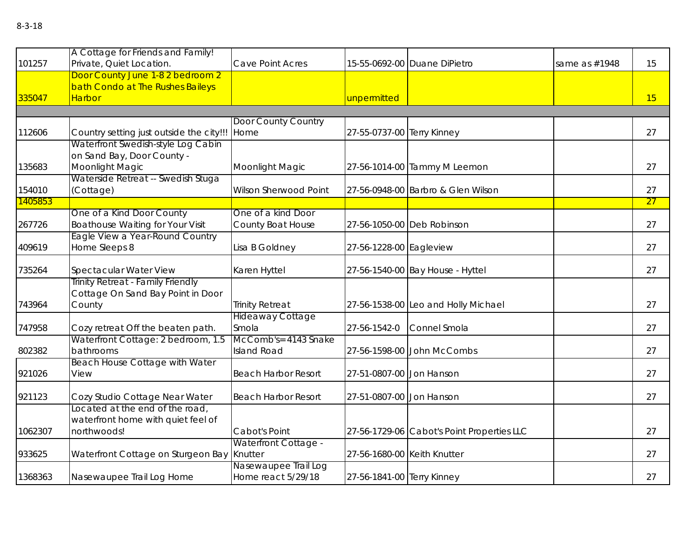| ۰,<br>×<br>۰,<br>× | ۰,<br>× |
|--------------------|---------|
|--------------------|---------|

|         | A Cottage for Friends and Family!                                      |                             |                             |                                            |               |    |
|---------|------------------------------------------------------------------------|-----------------------------|-----------------------------|--------------------------------------------|---------------|----|
| 101257  | Private, Quiet Location.                                               | Cave Point Acres            |                             | 15-55-0692-00 Duane DiPietro               | same as #1948 | 15 |
|         | Door County June 1-8 2 bedroom 2                                       |                             |                             |                                            |               |    |
| 335047  | bath Condo at The Rushes Baileys<br>Harbor                             |                             |                             |                                            |               | 15 |
|         |                                                                        |                             | unpermitted                 |                                            |               |    |
|         |                                                                        | Door County Country         |                             |                                            |               |    |
| 112606  | Country setting just outside the city!!! Home                          |                             | 27-55-0737-00 Terry Kinney  |                                            |               | 27 |
|         | Waterfront Swedish-style Log Cabin                                     |                             |                             |                                            |               |    |
|         | on Sand Bay, Door County -                                             |                             |                             |                                            |               |    |
| 135683  | Moonlight Magic                                                        | Moonlight Magic             |                             | 27-56-1014-00 Tammy M Leemon               |               | 27 |
|         | Waterside Retreat -- Swedish Stuga                                     |                             |                             |                                            |               |    |
| 154010  | (Cottage)                                                              | Wilson Sherwood Point       |                             | 27-56-0948-00 Barbro & Glen Wilson         |               | 27 |
| 1405853 |                                                                        |                             |                             |                                            |               | 27 |
|         | One of a Kind Door County                                              | One of a kind Door          |                             |                                            |               |    |
| 267726  | <b>Boathouse Waiting for Your Visit</b>                                | County Boat House           |                             | 27-56-1050-00 Deb Robinson                 |               | 27 |
|         | Eagle View a Year-Round Country                                        |                             |                             |                                            |               |    |
| 409619  | Home Sleeps 8                                                          | Lisa B Goldney              | 27-56-1228-00 Eagleview     |                                            |               | 27 |
|         |                                                                        |                             |                             |                                            |               |    |
| 735264  | Spectacular Water View                                                 | Karen Hyttel                |                             | 27-56-1540-00 Bay House - Hyttel           |               | 27 |
|         | Trinity Retreat - Family Friendly<br>Cottage On Sand Bay Point in Door |                             |                             |                                            |               |    |
| 743964  | County                                                                 | <b>Trinity Retreat</b>      |                             | 27-56-1538-00 Leo and Holly Michael        |               | 27 |
|         |                                                                        | Hideaway Cottage            |                             |                                            |               |    |
| 747958  | Cozy retreat Off the beaten path.                                      | Smola                       | 27-56-1542-0                | Connel Smola                               |               | 27 |
|         | Waterfront Cottage: 2 bedroom, 1.5                                     | McComb's= 4143 Snake        |                             |                                            |               |    |
| 802382  | bathrooms                                                              | <b>Island Road</b>          |                             | 27-56-1598-00 John McCombs                 |               | 27 |
|         | <b>Beach House Cottage with Water</b>                                  |                             |                             |                                            |               |    |
| 921026  | View                                                                   | <b>Beach Harbor Resort</b>  | 27-51-0807-00 Jon Hanson    |                                            |               | 27 |
|         |                                                                        |                             |                             |                                            |               |    |
| 921123  | Cozy Studio Cottage Near Water                                         | <b>Beach Harbor Resort</b>  | 27-51-0807-00 Jon Hanson    |                                            |               | 27 |
|         | Located at the end of the road,                                        |                             |                             |                                            |               |    |
|         | waterfront home with quiet feel of                                     |                             |                             |                                            |               |    |
| 1062307 | northwoods!                                                            | Cabot's Point               |                             | 27-56-1729-06 Cabot's Point Properties LLC |               | 27 |
|         |                                                                        | <b>Waterfront Cottage -</b> |                             |                                            |               |    |
| 933625  | Waterfront Cottage on Sturgeon Bay Knutter                             |                             | 27-56-1680-00 Keith Knutter |                                            |               | 27 |
|         |                                                                        | Nasewaupee Trail Log        |                             |                                            |               |    |
| 1368363 | Nasewaupee Trail Log Home                                              | Home react 5/29/18          | 27-56-1841-00 Terry Kinney  |                                            |               | 27 |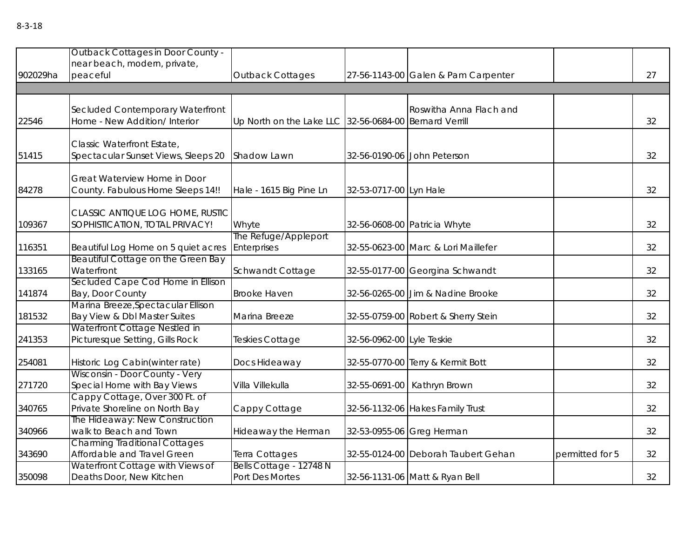| 902029ha | <b>Outback Cottages in Door County -</b><br>near beach, modern, private,<br>peaceful | <b>Outback Cottages</b>                                |                           | 27-56-1143-00 Galen & Pam Carpenter |                 | 27 |
|----------|--------------------------------------------------------------------------------------|--------------------------------------------------------|---------------------------|-------------------------------------|-----------------|----|
|          |                                                                                      |                                                        |                           |                                     |                 |    |
| 22546    | Secluded Contemporary Waterfront<br>Home - New Addition/ Interior                    | Up North on the Lake LLC 32-56-0684-00 Bernard Verrill |                           | Roswitha Anna Flach and             |                 | 32 |
| 51415    | Classic Waterfront Estate,<br>Spectacular Sunset Views, Sleeps 20                    | Shadow Lawn                                            |                           | 32-56-0190-06 John Peterson         |                 | 32 |
| 84278    | Great Waterview Home in Door<br>County. Fabulous Home Sleeps 14!!                    | Hale - 1615 Big Pine Ln                                | 32-53-0717-00 Lyn Hale    |                                     |                 | 32 |
| 109367   | CLASSIC ANTIQUE LOG HOME, RUSTIC<br>SOPHISTICATION, TOTAL PRIVACY!                   | Whyte                                                  |                           | 32-56-0608-00 Patricia Whyte        |                 | 32 |
| 116351   | Beautiful Log Home on 5 quiet acres                                                  | The Refuge/Appleport<br>Enterprises                    |                           | 32-55-0623-00 Marc & Lori Maillefer |                 | 32 |
| 133165   | Beautiful Cottage on the Green Bay<br>Waterfront                                     | Schwandt Cottage                                       |                           | 32-55-0177-00 Georgina Schwandt     |                 | 32 |
| 141874   | Secluded Cape Cod Home in Ellison<br>Bay, Door County                                | <b>Brooke Haven</b>                                    |                           | 32-56-0265-00 Jim & Nadine Brooke   |                 | 32 |
| 181532   | Marina Breeze, Spectacular Ellison<br>Bay View & Dbl Master Suites                   | Marina Breeze                                          |                           | 32-55-0759-00 Robert & Sherry Stein |                 | 32 |
| 241353   | Waterfront Cottage Nestled in<br>Picturesque Setting, Gills Rock                     | Teskies Cottage                                        | 32-56-0962-00 Lyle Teskie |                                     |                 | 32 |
| 254081   | Historic Log Cabin(winter rate)                                                      | Docs Hideaway                                          |                           | 32-55-0770-00 Terry & Kermit Bott   |                 | 32 |
| 271720   | Wisconsin - Door County - Very<br>Special Home with Bay Views                        | Villa Villekulla                                       |                           | 32-55-0691-00 Kathryn Brown         |                 | 32 |
| 340765   | Cappy Cottage, Over 300 Ft. of<br>Private Shoreline on North Bay                     | Cappy Cottage                                          |                           | 32-56-1132-06 Hakes Family Trust    |                 | 32 |
| 340966   | The Hideaway: New Construction<br>walk to Beach and Town                             | Hideaway the Herman                                    |                           | 32-53-0955-06 Greg Herman           |                 | 32 |
| 343690   | <b>Charming Traditional Cottages</b><br>Affordable and Travel Green                  | Terra Cottages                                         |                           | 32-55-0124-00 Deborah Taubert Gehan | permitted for 5 | 32 |
| 350098   | Waterfront Cottage with Views of<br>Deaths Door, New Kitchen                         | Bells Cottage - 12748 N<br>Port Des Mortes             |                           | 32-56-1131-06 Matt & Ryan Bell      |                 | 32 |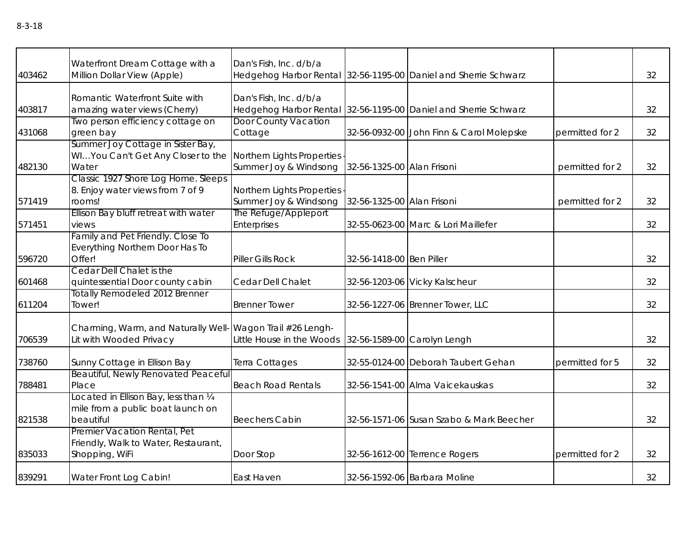|        | Waterfront Dream Cottage with a                                | Dan's Fish, Inc. d/b/a      |                            |                                                                 |                 |    |
|--------|----------------------------------------------------------------|-----------------------------|----------------------------|-----------------------------------------------------------------|-----------------|----|
| 403462 | Million Dollar View (Apple)                                    |                             |                            | Hedgehog Harbor Rental 32-56-1195-00 Daniel and Sherrie Schwarz |                 | 32 |
|        |                                                                |                             |                            |                                                                 |                 |    |
| 403817 | Romantic Waterfront Suite with<br>amazing water views (Cherry) | Dan's Fish, Inc. d/b/a      |                            | Hedgehog Harbor Rental 32-56-1195-00 Daniel and Sherrie Schwarz |                 | 32 |
|        | Two person efficiency cottage on                               | <b>Door County Vacation</b> |                            |                                                                 |                 |    |
| 431068 | green bay                                                      | Cottage                     |                            | 32-56-0932-00 John Finn & Carol Molepske                        | permitted for 2 | 32 |
|        | Summer Joy Cottage in Sister Bay,                              |                             |                            |                                                                 |                 |    |
|        | WIYou Can't Get Any Closer to the                              | Northern Lights Properties  |                            |                                                                 |                 |    |
| 482130 | Water                                                          | Summer Joy & Windsong       | 32-56-1325-00 Alan Frisoni |                                                                 | permitted for 2 | 32 |
|        | Classic 1927 Shore Log Home. Sleeps                            |                             |                            |                                                                 |                 |    |
|        | 8. Enjoy water views from 7 of 9                               | Northern Lights Properties  |                            |                                                                 |                 |    |
| 571419 | rooms!                                                         | Summer Joy & Windsong       | 32-56-1325-00 Alan Frisoni |                                                                 | permitted for 2 | 32 |
|        | Ellison Bay bluff retreat with water                           | The Refuge/Appleport        |                            |                                                                 |                 |    |
| 571451 | views                                                          | Enterprises                 |                            | 32-55-0623-00 Marc & Lori Maillefer                             |                 | 32 |
|        | Family and Pet Friendly. Close To                              |                             |                            |                                                                 |                 |    |
|        | Everything Northern Door Has To                                |                             |                            |                                                                 |                 |    |
| 596720 | Offer!                                                         | Piller Gills Rock           | 32-56-1418-00 Ben Piller   |                                                                 |                 | 32 |
|        | Cedar Dell Chalet is the                                       |                             |                            |                                                                 |                 |    |
| 601468 | quintessential Door county cabin                               | Cedar Dell Chalet           |                            | 32-56-1203-06 Vicky Kalscheur                                   |                 | 32 |
|        | Totally Remodeled 2012 Brenner                                 |                             |                            |                                                                 |                 |    |
| 611204 | Tower!                                                         | <b>Brenner Tower</b>        |                            | 32-56-1227-06 Brenner Tower, LLC                                |                 | 32 |
|        |                                                                |                             |                            |                                                                 |                 |    |
|        | Charming, Warm, and Naturally Well-                            | Wagon Trail #26 Lengh-      |                            |                                                                 |                 |    |
| 706539 | Lit with Wooded Privacy                                        | Little House in the Woods   |                            | 32-56-1589-00 Carolyn Lengh                                     |                 | 32 |
| 738760 | Sunny Cottage in Ellison Bay                                   | Terra Cottages              |                            | 32-55-0124-00 Deborah Taubert Gehan                             | permitted for 5 | 32 |
|        | Beautiful, Newly Renovated Peaceful                            |                             |                            |                                                                 |                 |    |
| 788481 | Place                                                          | <b>Beach Road Rentals</b>   |                            | 32-56-1541-00 Alma Vaicekauskas                                 |                 | 32 |
|        | Located in Ellison Bay, less than 1/4                          |                             |                            |                                                                 |                 |    |
|        | mile from a public boat launch on                              |                             |                            |                                                                 |                 |    |
| 821538 | beautiful                                                      | <b>Beechers Cabin</b>       |                            | 32-56-1571-06 Susan Szabo & Mark Beecher                        |                 | 32 |
|        | Premier Vacation Rental, Pet                                   |                             |                            |                                                                 |                 |    |
|        | Friendly, Walk to Water, Restaurant,                           |                             |                            |                                                                 |                 |    |
| 835033 | Shopping, WiFi                                                 | Door Stop                   |                            | 32-56-1612-00 Terrence Rogers                                   | permitted for 2 | 32 |
| 839291 | Water Front Log Cabin!                                         | East Haven                  |                            | 32-56-1592-06 Barbara Moline                                    |                 | 32 |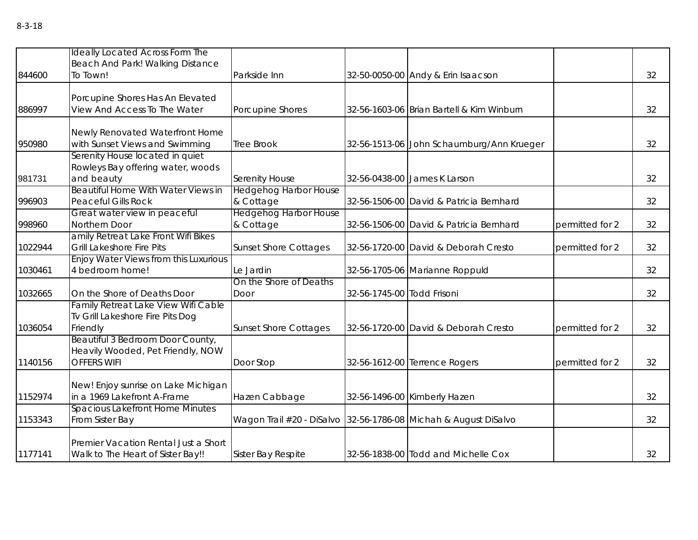|         | Ideally Located Across Form The<br>Beach And Park! Walking Distance                 |                                           |                            |                                                                 |                 |    |
|---------|-------------------------------------------------------------------------------------|-------------------------------------------|----------------------------|-----------------------------------------------------------------|-----------------|----|
| 844600  | To Town!                                                                            | Parkside Inn                              |                            | 32-50-0050-00 Andy & Erin Isaacson                              |                 | 32 |
| 886997  | Porcupine Shores Has An Elevated<br>View And Access To The Water                    | Porcupine Shores                          |                            | 32-56-1603-06 Brian Bartell & Kim Winburn                       |                 | 32 |
|         | Newly Renovated Waterfront Home                                                     |                                           |                            |                                                                 |                 |    |
| 950980  | with Sunset Views and Swimming                                                      | <b>Tree Brook</b>                         |                            | 32-56-1513-06 John Schaumburg/Ann Krueger                       |                 | 32 |
|         | Serenity House located in quiet<br>Rowleys Bay offering water, woods                |                                           |                            |                                                                 |                 |    |
| 981731  | and beauty                                                                          | Serenity House                            |                            | 32-56-0438-00 James K Larson                                    |                 | 32 |
| 996903  | <b>Beautiful Home With Water Views in</b><br><b>Peaceful Gills Rock</b>             | <b>Hedgehog Harbor House</b><br>& Cottage |                            | 32-56-1506-00 David & Patricia Bernhard                         |                 | 32 |
| 998960  | Great water view in peaceful<br>Northern Door                                       | <b>Hedgehog Harbor House</b><br>& Cottage |                            | 32-56-1506-00 David & Patricia Bernhard                         | permitted for 2 | 32 |
| 1022944 | amily Retreat Lake Front Wifi Bikes<br><b>Grill Lakeshore Fire Pits</b>             | <b>Sunset Shore Cottages</b>              |                            | 32-56-1720-00 David & Deborah Cresto                            | permitted for 2 | 32 |
| 1030461 | <b>Enjoy Water Views from this Luxurious</b><br>4 bedroom home!                     | Le Jardin                                 |                            | 32-56-1705-06 Marianne Roppuld                                  |                 | 32 |
| 1032665 | On the Shore of Deaths Door                                                         | On the Shore of Deaths<br>Door            | 32-56-1745-00 Todd Frisoni |                                                                 |                 | 32 |
| 1036054 | Family Retreat Lake View Wifi Cable<br>Tv Grill Lakeshore Fire Pits Dog<br>Friendly | <b>Sunset Shore Cottages</b>              |                            | 32-56-1720-00 David & Deborah Cresto                            | permitted for 2 | 32 |
|         | <b>Beautiful 3 Bedroom Door County,</b><br>Heavily Wooded, Pet Friendly, NOW        |                                           |                            |                                                                 |                 |    |
| 1140156 | <b>OFFERS WIFI</b>                                                                  | Door Stop                                 |                            | 32-56-1612-00 Terrence Rogers                                   | permitted for 2 | 32 |
| 1152974 | New! Enjoy sunrise on Lake Michigan<br>in a 1969 Lakefront A-Frame                  | Hazen Cabbage                             |                            | 32-56-1496-00 Kimberly Hazen                                    |                 | 32 |
| 1153343 | <b>Spacious Lakefront Home Minutes</b><br>From Sister Bay                           |                                           |                            | Wagon Trail #20 - DiSalvo 32-56-1786-08 Michah & August DiSalvo |                 | 32 |
| 1177141 | Premier Vacation Rental Just a Short<br>Walk to The Heart of Sister Bay!!           | Sister Bay Respite                        |                            | 32-56-1838-00 Todd and Michelle Cox                             |                 | 32 |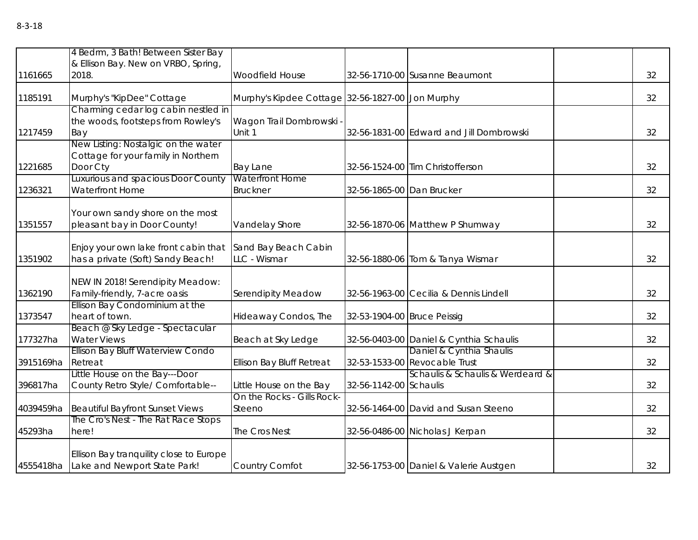|           | 4 Bedrm, 3 Bath! Between Sister Bay<br>& Ellison Bay. New on VRBO, Spring,             |                                                  |                             |                                                           |    |
|-----------|----------------------------------------------------------------------------------------|--------------------------------------------------|-----------------------------|-----------------------------------------------------------|----|
| 1161665   | 2018.                                                                                  | Woodfield House                                  |                             | 32-56-1710-00 Susanne Beaumont                            | 32 |
| 1185191   | Murphy's "KipDee" Cottage                                                              | Murphy's Kipdee Cottage 32-56-1827-00 Jon Murphy |                             |                                                           | 32 |
| 1217459   | Charming cedar log cabin nestled in<br>the woods, footsteps from Rowley's<br>Bay       | Wagon Trail Dombrowski -<br>Unit 1               |                             | 32-56-1831-00 Edward and Jill Dombrowski                  | 32 |
| 1221685   | New Listing: Nostalgic on the water<br>Cottage for your family in Northern<br>Door Cty | Bay Lane                                         |                             | 32-56-1524-00 Tim Christofferson                          | 32 |
| 1236321   | Luxurious and spacious Door County<br>Waterfront Home                                  | <b>Waterfront Home</b><br><b>Bruckner</b>        | 32-56-1865-00 Dan Brucker   |                                                           | 32 |
| 1351557   | Your own sandy shore on the most<br>pleasant bay in Door County!                       | Vandelay Shore                                   |                             | 32-56-1870-06 Matthew P Shumway                           | 32 |
| 1351902   | Enjoy your own lake front cabin that<br>has a private (Soft) Sandy Beach!              | Sand Bay Beach Cabin<br>LLC - Wismar             |                             | 32-56-1880-06 Tom & Tanya Wismar                          | 32 |
| 1362190   | NEW IN 2018! Serendipity Meadow:<br>Family-friendly, 7-acre oasis                      | Serendipity Meadow                               |                             | 32-56-1963-00 Cecilia & Dennis Lindell                    | 32 |
| 1373547   | Ellison Bay Condominium at the<br>heart of town.                                       | Hideaway Condos, The                             | 32-53-1904-00 Bruce Peissig |                                                           | 32 |
| 177327ha  | Beach @ Sky Ledge - Spectacular<br><b>Water Views</b>                                  | Beach at Sky Ledge                               |                             | 32-56-0403-00 Daniel & Cynthia Schaulis                   | 32 |
| 3915169ha | Ellison Bay Bluff Waterview Condo<br>Retreat                                           | <b>Ellison Bay Bluff Retreat</b>                 |                             | Daniel & Cynthia Shaulis<br>32-53-1533-00 Revocable Trust | 32 |
| 396817ha  | Little House on the Bay---Door<br>County Retro Style/ Comfortable--                    | Little House on the Bay                          | 32-56-1142-00 Schaulis      | Schaulis & Schaulis & Werdeard &                          | 32 |
| 4039459ha | <b>Beautiful Bayfront Sunset Views</b>                                                 | On the Rocks - Gills Rock-<br>Steeno             |                             | 32-56-1464-00 David and Susan Steeno                      | 32 |
| 45293ha   | The Cro's Nest - The Rat Race Stops<br>here!                                           | The Cros Nest                                    |                             | 32-56-0486-00 Nicholas J Kerpan                           | 32 |
|           | Ellison Bay tranquility close to Europe<br>4555418ha Lake and Newport State Park!      | Country Comfot                                   |                             | 32-56-1753-00 Daniel & Valerie Austgen                    | 32 |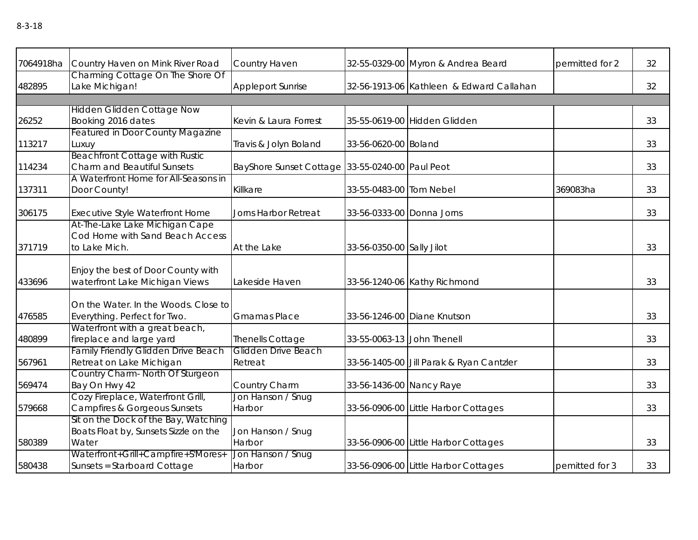| 7064918ha | Country Haven on Mink River Road                                                       | Country Haven                                   |                            | 32-55-0329-00 Myron & Andrea Beard       | permitted for 2 | 32 |
|-----------|----------------------------------------------------------------------------------------|-------------------------------------------------|----------------------------|------------------------------------------|-----------------|----|
| 482895    | Charming Cottage On The Shore Of<br>Lake Michigan!                                     | <b>Appleport Sunrise</b>                        |                            | 32-56-1913-06 Kathleen & Edward Callahan |                 | 32 |
|           |                                                                                        |                                                 |                            |                                          |                 |    |
| 26252     | <b>Hidden Glidden Cottage Now</b><br>Booking 2016 dates                                | Kevin & Laura Forrest                           |                            | 35-55-0619-00 Hidden Glidden             |                 | 33 |
| 113217    | <b>Featured in Door County Magazine</b><br>Luxuy                                       | Travis & Jolyn Boland                           | 33-56-0620-00 Boland       |                                          |                 | 33 |
| 114234    | <b>Beachfront Cottage with Rustic</b><br>Charm and Beautiful Sunsets                   | BayShore Sunset Cottage 33-55-0240-00 Paul Peot |                            |                                          |                 | 33 |
| 137311    | A Waterfront Home for All-Seasons in<br>Door County!                                   | Killkare                                        | 33-55-0483-00 Tom Nebel    |                                          | 369083ha        | 33 |
| 306175    | <b>Executive Style Waterfront Home</b>                                                 | <b>Jorns Harbor Retreat</b>                     | 33-56-0333-00 Donna Jorns  |                                          |                 | 33 |
| 371719    | At-The-Lake Lake Michigan Cape<br>Cod Home with Sand Beach Access<br>to Lake Mich.     | At the Lake                                     | 33-56-0350-00 Sally Jilot  |                                          |                 | 33 |
| 433696    | Enjoy the best of Door County with<br>waterfront Lake Michigan Views                   | Lakeside Haven                                  |                            | 33-56-1240-06 Kathy Richmond             |                 | 33 |
| 476585    | On the Water. In the Woods. Close to<br>Everything. Perfect for Two.                   | <b>Gmamas Place</b>                             |                            | 33-56-1246-00 Diane Knutson              |                 | 33 |
| 480899    | Waterfront with a great beach,<br>fireplace and large yard                             | Thenells Cottage                                | 33-55-0063-13 John Thenell |                                          |                 | 33 |
| 567961    | <b>Family Friendly Glidden Drive Beach</b><br>Retreat on Lake Michigan                 | Glidden Drive Beach<br>Retreat                  |                            | 33-56-1405-00 Jill Parak & Ryan Cantzler |                 | 33 |
| 569474    | Country Charm- North Of Sturgeon<br>Bay On Hwy 42                                      | Country Charm                                   | 33-56-1436-00 Nancy Raye   |                                          |                 | 33 |
| 579668    | Cozy Fireplace, Waterfront Grill,<br><b>Campfires &amp; Gorgeous Sunsets</b>           | Jon Hanson / Snug<br>Harbor                     |                            | 33-56-0906-00 Little Harbor Cottages     |                 | 33 |
| 580389    | Sit on the Dock of the Bay, Watching<br>Boats Float by, Sunsets Sizzle on the<br>Water | Jon Hanson / Snug<br>Harbor                     |                            | 33-56-0906-00 Little Harbor Cottages     |                 | 33 |
| 580438    | Waterfront+Grill+Campfire+S'Mores+<br>Sunsets = Starboard Cottage                      | Jon Hanson / Snug<br>Harbor                     |                            | 33-56-0906-00 Little Harbor Cottages     | pemitted for 3  | 33 |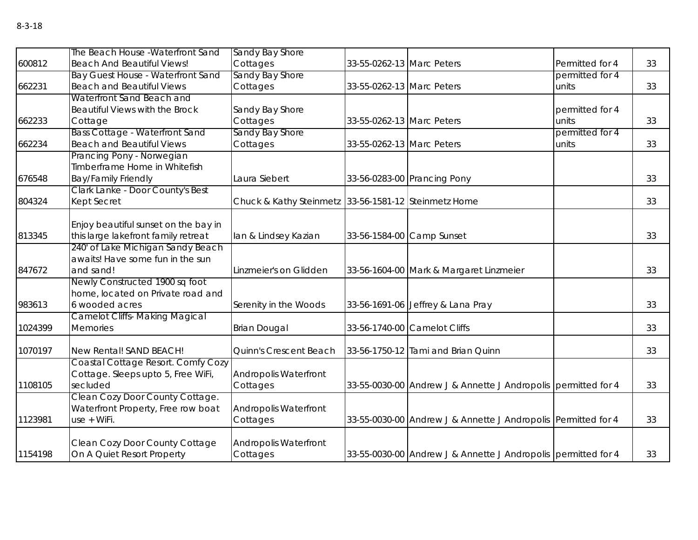|         | The Beach House - Waterfront Sand                        | Sandy Bay Shore                                      |                           |                                                               |                 |    |
|---------|----------------------------------------------------------|------------------------------------------------------|---------------------------|---------------------------------------------------------------|-----------------|----|
| 600812  | <b>Beach And Beautiful Views!</b>                        | Cottages                                             | 33-55-0262-13 Marc Peters |                                                               | Permitted for 4 | 33 |
|         | Bay Guest House - Waterfront Sand                        | Sandy Bay Shore                                      |                           |                                                               | permitted for 4 |    |
| 662231  | <b>Beach and Beautiful Views</b>                         | Cottages                                             | 33-55-0262-13 Marc Peters |                                                               | units           | 33 |
|         | Waterfront Sand Beach and                                |                                                      |                           |                                                               |                 |    |
|         | Beautiful Views with the Brock                           | Sandy Bay Shore                                      |                           |                                                               | permitted for 4 |    |
| 662233  | Cottage                                                  | Cottages                                             | 33-55-0262-13 Marc Peters |                                                               | units           | 33 |
|         | <b>Bass Cottage - Waterfront Sand</b>                    | Sandy Bay Shore                                      |                           |                                                               | permitted for 4 |    |
| 662234  | <b>Beach and Beautiful Views</b>                         | Cottages                                             | 33-55-0262-13 Marc Peters |                                                               | units           | 33 |
|         | Prancing Pony - Norwegian                                |                                                      |                           |                                                               |                 |    |
|         | Timberframe Home in Whitefish                            |                                                      |                           |                                                               |                 |    |
| 676548  | <b>Bay/Family Friendly</b>                               | Laura Siebert                                        |                           | 33-56-0283-00 Prancing Pony                                   |                 | 33 |
|         | Clark Lanke - Door County's Best                         |                                                      |                           |                                                               |                 |    |
| 804324  | <b>Kept Secret</b>                                       | Chuck & Kathy Steinmetz 33-56-1581-12 Steinmetz Home |                           |                                                               |                 | 33 |
|         |                                                          |                                                      |                           |                                                               |                 |    |
|         | Enjoy beautiful sunset on the bay in                     |                                                      |                           |                                                               |                 |    |
| 813345  | this large lakefront family retreat                      | lan & Lindsey Kazian                                 | 33-56-1584-00 Camp Sunset |                                                               |                 | 33 |
|         | 240' of Lake Michigan Sandy Beach                        |                                                      |                           |                                                               |                 |    |
|         | awaits! Have some fun in the sun                         |                                                      |                           |                                                               |                 |    |
| 847672  | and sand!                                                | Linzmeier's on Glidden                               |                           | 33-56-1604-00 Mark & Margaret Linzmeier                       |                 | 33 |
|         | Newly Constructed 1900 sq foot                           |                                                      |                           |                                                               |                 |    |
|         | home, located on Private road and                        |                                                      |                           |                                                               |                 |    |
| 983613  | 6 wooded acres                                           | Serenity in the Woods                                |                           | 33-56-1691-06 Jeffrey & Lana Pray                             |                 | 33 |
| 1024399 | <b>Camelot Cliffs- Making Magical</b><br><b>Memories</b> | <b>Brian Dougal</b>                                  |                           | 33-56-1740-00 Camelot Cliffs                                  |                 | 33 |
|         |                                                          |                                                      |                           |                                                               |                 |    |
| 1070197 | New Rental! SAND BEACH!                                  | Quinn's Crescent Beach                               |                           | 33-56-1750-12 Tami and Brian Quinn                            |                 | 33 |
|         | Coastal Cottage Resort. Comfy Cozy                       |                                                      |                           |                                                               |                 |    |
|         | Cottage. Sleeps upto 5, Free WiFi,                       | <b>Andropolis Waterfront</b>                         |                           |                                                               |                 |    |
| 1108105 | secluded                                                 | Cottages                                             |                           | 33-55-0030-00 Andrew J & Annette J Andropolis permitted for 4 |                 | 33 |
|         | Clean Cozy Door County Cottage.                          |                                                      |                           |                                                               |                 |    |
|         | Waterfront Property, Free row boat                       | <b>Andropolis Waterfront</b>                         |                           |                                                               |                 |    |
| 1123981 | $use + WiFi.$                                            | Cottages                                             |                           | 33-55-0030-00 Andrew J & Annette J Andropolis Permitted for 4 |                 | 33 |
|         |                                                          |                                                      |                           |                                                               |                 |    |
|         | Clean Cozy Door County Cottage                           | <b>Andropolis Waterfront</b>                         |                           |                                                               |                 |    |
| 1154198 | On A Quiet Resort Property                               | Cottages                                             |                           | 33-55-0030-00 Andrew J & Annette J Andropolis permitted for 4 |                 | 33 |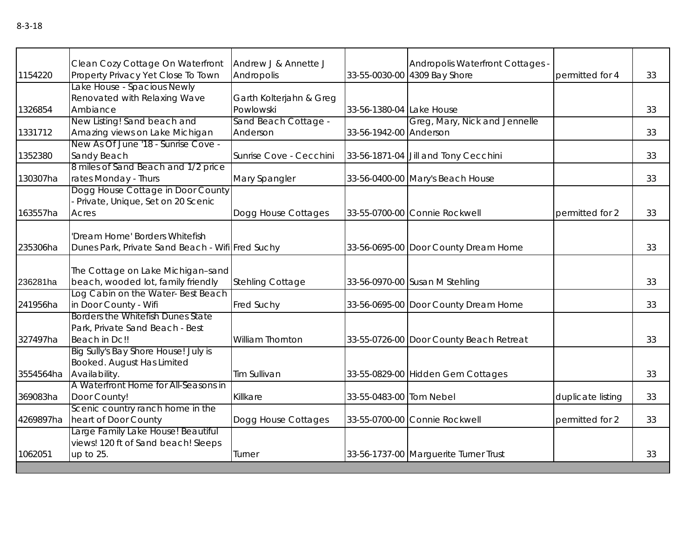| 1154220   | Clean Cozy Cottage On Waterfront<br>Property Privacy Yet Close To Town                        | Andrew J & Annette J<br>Andropolis   |                          | Andropolis Waterfront Cottages -<br>33-55-0030-00 4309 Bay Shore | permitted for 4   | 33 |
|-----------|-----------------------------------------------------------------------------------------------|--------------------------------------|--------------------------|------------------------------------------------------------------|-------------------|----|
| 1326854   | Lake House - Spacious Newly<br>Renovated with Relaxing Wave<br>Ambiance                       | Garth Kolterjahn & Greg<br>Powlowski | 33-56-1380-04 Lake House |                                                                  |                   | 33 |
| 1331712   | New Listing! Sand beach and<br>Amazing views on Lake Michigan                                 | Sand Beach Cottage -<br>Anderson     | 33-56-1942-00 Anderson   | Greg, Mary, Nick and Jennelle                                    |                   | 33 |
| 1352380   | New As Of June '18 - Sunrise Cove -<br>Sandy Beach                                            | Sunrise Cove - Cecchini              |                          | 33-56-1871-04 Jill and Tony Cecchini                             |                   | 33 |
| 130307ha  | 8 miles of Sand Beach and 1/2 price<br>rates Monday - Thurs                                   | Mary Spangler                        |                          | 33-56-0400-00 Mary's Beach House                                 |                   | 33 |
| 163557ha  | Dogg House Cottage in Door County<br>- Private, Unique, Set on 20 Scenic<br>Acres             | Dogg House Cottages                  |                          | 33-55-0700-00 Connie Rockwell                                    | permitted for 2   | 33 |
| 235306ha  | 'Dream Home' Borders Whitefish<br>Dunes Park, Private Sand Beach - Wifi Fred Suchy            |                                      |                          | 33-56-0695-00 Door County Dream Home                             |                   | 33 |
| 236281ha  | The Cottage on Lake Michigan-sand<br>beach, wooded lot, family friendly                       | Stehling Cottage                     |                          | 33-56-0970-00 Susan M Stehling                                   |                   | 33 |
| 241956ha  | Log Cabin on the Water-Best Beach<br>in Door County - Wifi                                    | <b>Fred Suchy</b>                    |                          | 33-56-0695-00 Door County Dream Home                             |                   | 33 |
| 327497ha  | Borders the Whitefish Dunes State<br>Park, Private Sand Beach - Best<br>Beach in Dc!!         | <b>William Thornton</b>              |                          | 33-55-0726-00 Door County Beach Retreat                          |                   | 33 |
|           | Big Sully's Bay Shore House! July is<br>Booked. August Has Limited<br>3554564ha Availability. | Tim Sullivan                         |                          | 33-55-0829-00 Hidden Gem Cottages                                |                   | 33 |
| 369083ha  | A Waterfront Home for All-Seasons in<br>Door County!                                          | Killkare                             | 33-55-0483-00 Tom Nebel  |                                                                  | duplicate listing | 33 |
| 4269897ha | Scenic country ranch home in the<br>heart of Door County                                      | Dogg House Cottages                  |                          | 33-55-0700-00 Connie Rockwell                                    | permitted for 2   | 33 |
| 1062051   | Large Family Lake House! Beautiful<br>views! 120 ft of Sand beach! Sleeps<br>up to 25.        | Turner                               |                          | 33-56-1737-00 Marguerite Turner Trust                            |                   | 33 |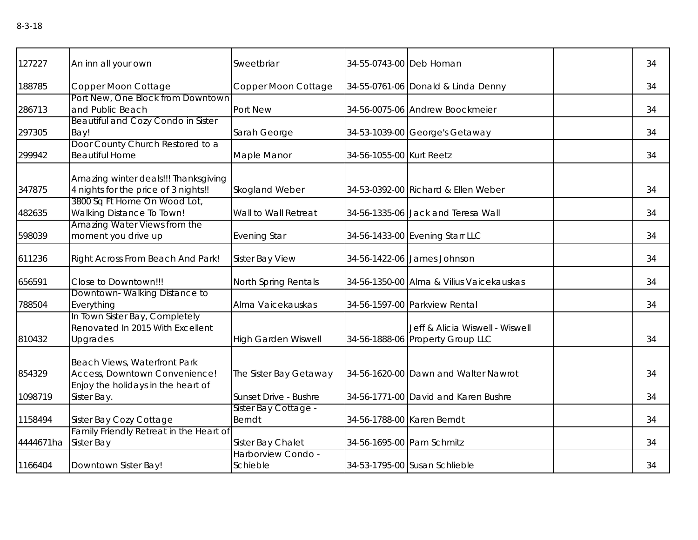| 127227    | An inn all your own                                                            | Sweetbriar                            | 34-55-0743-00 Deb Homan    |                                                                     | 34 |
|-----------|--------------------------------------------------------------------------------|---------------------------------------|----------------------------|---------------------------------------------------------------------|----|
| 188785    | Copper Moon Cottage                                                            | Copper Moon Cottage                   |                            | 34-55-0761-06 Donald & Linda Denny                                  | 34 |
| 286713    | Port New, One Block from Downtown<br>and Public Beach                          | Port New                              |                            | 34-56-0075-06 Andrew Boockmeier                                     | 34 |
| 297305    | Beautiful and Cozy Condo in Sister<br>Bay!                                     | Sarah George                          |                            | 34-53-1039-00 George's Getaway                                      | 34 |
| 299942    | Door County Church Restored to a<br><b>Beautiful Home</b>                      | Maple Manor                           | 34-56-1055-00 Kurt Reetz   |                                                                     | 34 |
| 347875    | Amazing winter deals!!! Thanksgiving<br>4 nights for the price of 3 nights!!   | Skogland Weber                        |                            | 34-53-0392-00 Richard & Ellen Weber                                 | 34 |
| 482635    | 3800 Sq Ft Home On Wood Lot,<br>Walking Distance To Town!                      | Wall to Wall Retreat                  |                            | 34-56-1335-06 Jack and Teresa Wall                                  | 34 |
| 598039    | Amazing Water Views from the<br>moment you drive up                            | <b>Evening Star</b>                   |                            | 34-56-1433-00 Evening Starr LLC                                     | 34 |
| 611236    | Right Across From Beach And Park!                                              | <b>Sister Bay View</b>                |                            | 34-56-1422-06 James Johnson                                         | 34 |
| 656591    | Close to Downtown!!!                                                           | North Spring Rentals                  |                            | 34-56-1350-00 Alma & Vilius Vaicekauskas                            | 34 |
| 788504    | Downtown-Walking Distance to<br>Everything                                     | Alma Vaicekauskas                     |                            | 34-56-1597-00 Parkview Rental                                       | 34 |
| 810432    | In Town Sister Bay, Completely<br>Renovated In 2015 With Excellent<br>Upgrades | <b>High Garden Wiswell</b>            |                            | Jeff & Alicia Wiswell - Wiswell<br>34-56-1888-06 Property Group LLC | 34 |
| 854329    | Beach Views, Waterfront Park<br>Access, Downtown Convenience!                  | The Sister Bay Getaway                |                            | 34-56-1620-00 Dawn and Walter Nawrot                                | 34 |
| 1098719   | Enjoy the holidays in the heart of<br>Sister Bay.                              | Sunset Drive - Bushre                 |                            | 34-56-1771-00 David and Karen Bushre                                | 34 |
| 1158494   | Sister Bay Cozy Cottage                                                        | Sister Bay Cottage -<br><b>Berndt</b> | 34-56-1788-00 Karen Berndt |                                                                     | 34 |
| 4444671ha | Family Friendly Retreat in the Heart of<br>Sister Bay                          | Sister Bay Chalet                     | 34-56-1695-00 Pam Schmitz  |                                                                     | 34 |
| 1166404   | Downtown Sister Bay!                                                           | Harborview Condo -<br>Schieble        |                            | 34-53-1795-00 Susan Schlieble                                       | 34 |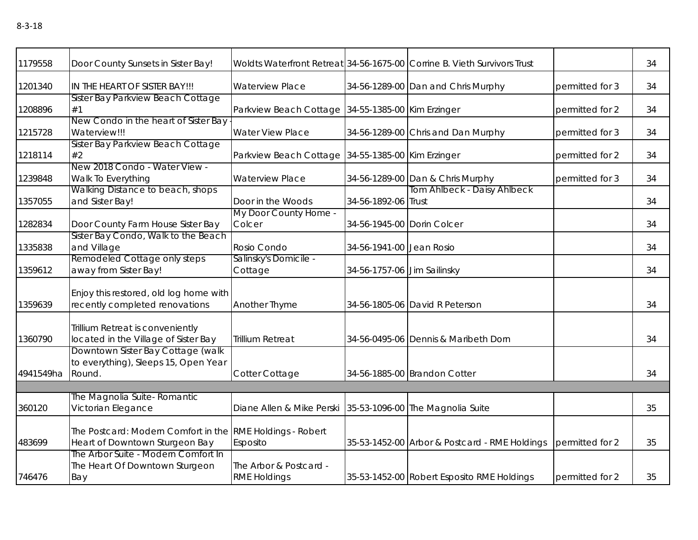| 1179558   | Door County Sunsets in Sister Bay!                                                          |                                                            |                             | Woldts Waterfront Retreat 34-56-1675-00 Corrine B. Vieth Survivors Trust |                 | 34 |
|-----------|---------------------------------------------------------------------------------------------|------------------------------------------------------------|-----------------------------|--------------------------------------------------------------------------|-----------------|----|
| 1201340   | IN THE HEART OF SISTER BAY !!!                                                              | <b>Waterview Place</b>                                     |                             | 34-56-1289-00 Dan and Chris Murphy                                       | permitted for 3 | 34 |
| 1208896   | Sister Bay Parkview Beach Cottage<br>#1                                                     | Parkview Beach Cottage 34-55-1385-00 Kim Erzinger          |                             |                                                                          | permitted for 2 | 34 |
| 1215728   | New Condo in the heart of Sister Bay<br>Waterview!!!                                        | <b>Water View Place</b>                                    |                             | 34-56-1289-00 Chris and Dan Murphy                                       | permitted for 3 | 34 |
| 1218114   | Sister Bay Parkview Beach Cottage<br>#2                                                     | Parkview Beach Cottage 34-55-1385-00 Kim Erzinger          |                             |                                                                          | permitted for 2 | 34 |
| 1239848   | New 2018 Condo - Water View -<br>Walk To Everything                                         | <b>Waterview Place</b>                                     |                             | 34-56-1289-00 Dan & Chris Murphy                                         | permitted for 3 | 34 |
| 1357055   | Walking Distance to beach, shops<br>and Sister Bay!                                         | Door in the Woods                                          | 34-56-1892-06 Trust         | Tom Ahlbeck - Daisy Ahlbeck                                              |                 | 34 |
| 1282834   | Door County Farm House Sister Bay                                                           | My Door County Home -<br>Colcer                            | 34-56-1945-00 Dorin Colcer  |                                                                          |                 | 34 |
| 1335838   | Sister Bay Condo, Walk to the Beach<br>and Village                                          | Rosio Condo                                                | 34-56-1941-00 Jean Rosio    |                                                                          |                 | 34 |
| 1359612   | Remodeled Cottage only steps<br>away from Sister Bay!                                       | Salinsky's Domicile -<br>Cottage                           | 34-56-1757-06 Jim Sailinsky |                                                                          |                 | 34 |
| 1359639   | Enjoy this restored, old log home with<br>recently completed renovations                    | Another Thyme                                              |                             | 34-56-1805-06 David R Peterson                                           |                 | 34 |
| 1360790   | Trillium Retreat is conveniently<br>located in the Village of Sister Bay                    | <b>Trillium Retreat</b>                                    |                             | 34-56-0495-06 Dennis & Maribeth Dorn                                     |                 | 34 |
| 4941549ha | Downtown Sister Bay Cottage (walk<br>to everything), Sleeps 15, Open Year<br>Round.         | Cotter Cottage                                             |                             | 34-56-1885-00 Brandon Cotter                                             |                 | 34 |
|           |                                                                                             |                                                            |                             |                                                                          |                 |    |
| 360120    | The Magnolia Suite- Romantic<br>Victorian Elegance                                          | Diane Allen & Mike Perski 35-53-1096-00 The Magnolia Suite |                             |                                                                          |                 | 35 |
| 483699    | The Postcard: Modern Comfort in the RME Holdings - Robert<br>Heart of Downtown Sturgeon Bay | Esposito                                                   |                             | 35-53-1452-00 Arbor & Postcard - RME Holdings                            | permitted for 2 | 35 |
| 746476    | The Arbor Suite - Modern Comfort In<br>The Heart Of Downtown Sturgeon<br>Bay                | The Arbor & Postcard -<br><b>RME Holdings</b>              |                             | 35-53-1452-00 Robert Esposito RME Holdings                               | permitted for 2 | 35 |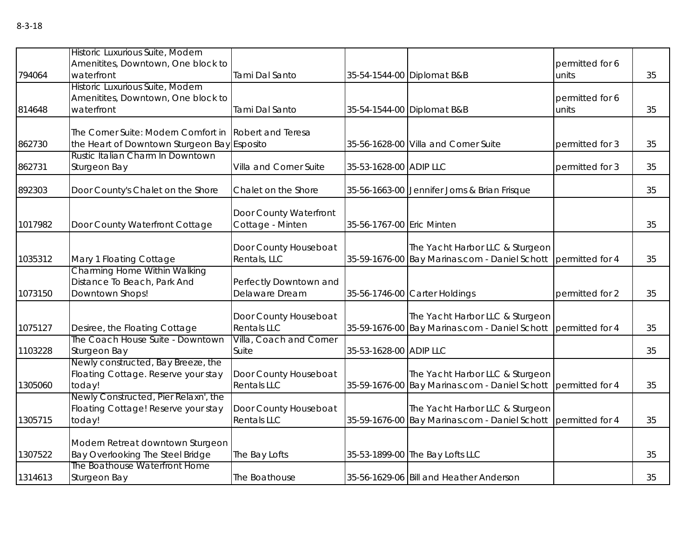|         | Historic Luxurious Suite, Modern            |                         |                           |                                                                 |                 |    |
|---------|---------------------------------------------|-------------------------|---------------------------|-----------------------------------------------------------------|-----------------|----|
|         | Amenitites, Downtown, One block to          |                         |                           |                                                                 | permitted for 6 |    |
| 794064  | waterfront                                  | Tami Dal Santo          |                           | 35-54-1544-00 Diplomat B&B                                      | units           | 35 |
|         | Historic Luxurious Suite, Modern            |                         |                           |                                                                 |                 |    |
|         | Amenitites, Downtown, One block to          |                         |                           |                                                                 | permitted for 6 |    |
| 814648  | waterfront                                  | Tami Dal Santo          |                           | 35-54-1544-00 Diplomat B&B                                      | units           | 35 |
|         |                                             |                         |                           |                                                                 |                 |    |
|         | The Corner Suite: Modern Comfort in         | Robert and Teresa       |                           |                                                                 |                 |    |
| 862730  | the Heart of Downtown Sturgeon Bay Esposito |                         |                           | 35-56-1628-00 Villa and Corner Suite                            | permitted for 3 | 35 |
|         | Rustic Italian Charm In Downtown            |                         |                           |                                                                 |                 |    |
| 862731  | Sturgeon Bay                                | Villa and Corner Suite  | 35-53-1628-00 ADIP LLC    |                                                                 | permitted for 3 | 35 |
|         |                                             |                         |                           |                                                                 |                 |    |
| 892303  | Door County's Chalet on the Shore           | Chalet on the Shore     |                           | 35-56-1663-00 Jennifer Jorns & Brian Frisque                    |                 | 35 |
|         |                                             |                         |                           |                                                                 |                 |    |
|         |                                             | Door County Waterfront  |                           |                                                                 |                 |    |
| 1017982 | Door County Waterfront Cottage              | Cottage - Minten        | 35-56-1767-00 Eric Minten |                                                                 |                 | 35 |
|         |                                             |                         |                           |                                                                 |                 |    |
|         |                                             | Door County Houseboat   |                           | The Yacht Harbor LLC & Sturgeon                                 |                 |    |
| 1035312 | Mary 1 Floating Cottage                     | Rentals, LLC            |                           | 35-59-1676-00 Bay Marinas.com - Daniel Schott permitted for 4   |                 | 35 |
|         | Charming Home Within Walking                |                         |                           |                                                                 |                 |    |
|         | Distance To Beach, Park And                 | Perfectly Downtown and  |                           |                                                                 |                 |    |
| 1073150 | Downtown Shops!                             | Delaware Dream          |                           | 35-56-1746-00 Carter Holdings                                   | permitted for 2 | 35 |
|         |                                             |                         |                           |                                                                 |                 |    |
|         |                                             | Door County Houseboat   |                           | The Yacht Harbor LLC & Sturgeon                                 |                 |    |
| 1075127 | Desiree, the Floating Cottage               | <b>Rentals LLC</b>      |                           | 35-59-1676-00 Bay Marinas.com - Daniel Schott                   | permitted for 4 | 35 |
|         | The Coach House Suite - Downtown            | Villa, Coach and Corner |                           |                                                                 |                 |    |
| 1103228 | Sturgeon Bay                                | Suite                   | 35-53-1628-00 ADIP LLC    |                                                                 |                 | 35 |
|         | Newly constructed, Bay Breeze, the          |                         |                           |                                                                 |                 |    |
|         | Floating Cottage. Reserve your stay         | Door County Houseboat   |                           | The Yacht Harbor LLC & Sturgeon                                 |                 |    |
| 1305060 | today!                                      | <b>Rentals LLC</b>      |                           | 35-59-1676-00 Bay Marinas.com - Daniel Schott   permitted for 4 |                 | 35 |
|         | Newly Constructed, Pier Relaxn', the        |                         |                           |                                                                 |                 |    |
|         | Floating Cottage! Reserve your stay         | Door County Houseboat   |                           | The Yacht Harbor LLC & Sturgeon                                 |                 |    |
| 1305715 | today!                                      | <b>Rentals LLC</b>      |                           | 35-59-1676-00 Bay Marinas.com - Daniel Schott permitted for 4   |                 | 35 |
|         | Modern Retreat downtown Sturgeon            |                         |                           |                                                                 |                 |    |
| 1307522 | Bay Overlooking The Steel Bridge            | The Bay Lofts           |                           | 35-53-1899-00 The Bay Lofts LLC                                 |                 | 35 |
|         | The Boathouse Waterfront Home               |                         |                           |                                                                 |                 |    |
| 1314613 | Sturgeon Bay                                | The Boathouse           |                           | 35-56-1629-06 Bill and Heather Anderson                         |                 | 35 |
|         |                                             |                         |                           |                                                                 |                 |    |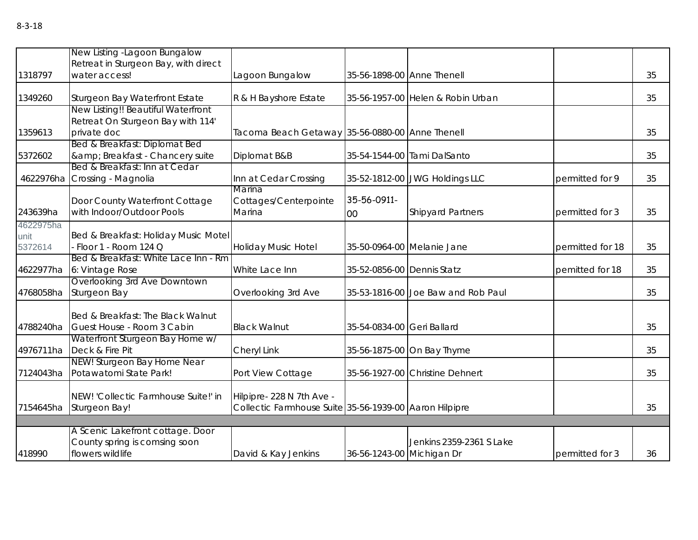|                              | New Listing - Lagoon Bungalow<br>Retreat in Sturgeon Bay, with direct                  |                                                                                     |                            |                                    |                  |    |
|------------------------------|----------------------------------------------------------------------------------------|-------------------------------------------------------------------------------------|----------------------------|------------------------------------|------------------|----|
| 1318797                      | water access!                                                                          | Lagoon Bungalow                                                                     |                            | 35-56-1898-00 Anne Thenell         |                  | 35 |
| 1349260                      | Sturgeon Bay Waterfront Estate                                                         | R & H Bayshore Estate                                                               |                            | 35-56-1957-00 Helen & Robin Urban  |                  | 35 |
| 1359613                      | New Listing!! Beautiful Waterfront<br>Retreat On Sturgeon Bay with 114'<br>private doc | Tacoma Beach Getaway 35-56-0880-00 Anne Thenell                                     |                            |                                    |                  | 35 |
| 5372602                      | Bed & Breakfast: Diplomat Bed<br>& Breakfast - Chancery suite                          | Diplomat B&B                                                                        |                            | 35-54-1544-00 Tami DalSanto        |                  | 35 |
| 4622976ha                    | Bed & Breakfast: Inn at Cedar<br>Crossing - Magnolia                                   | Inn at Cedar Crossing                                                               |                            | 35-52-1812-00 JWG Holdings LLC     | permitted for 9  | 35 |
| 243639ha                     | Door County Waterfront Cottage<br>with Indoor/Outdoor Pools                            | Marina<br>Cottages/Centerpointe<br>Marina                                           | 35-56-0911-<br>00          | <b>Shipyard Partners</b>           | permitted for 3  | 35 |
| 4622975ha<br>unit<br>5372614 | Bed & Breakfast: Holiday Music Motel<br>$-Floor 1 - Room 124 Q$                        | <b>Holiday Music Hotel</b>                                                          |                            | 35-50-0964-00 Melanie Jane         | permitted for 18 | 35 |
| 4622977ha                    | Bed & Breakfast: White Lace Inn - Rm<br>6: Vintage Rose                                | White Lace Inn                                                                      | 35-52-0856-00 Dennis Statz |                                    | pemitted for 18  | 35 |
| 4768058ha                    | Overlooking 3rd Ave Downtown<br>Sturgeon Bay                                           | Overlooking 3rd Ave                                                                 |                            | 35-53-1816-00 Joe Baw and Rob Paul |                  | 35 |
| 4788240ha                    | Bed & Breakfast: The Black Walnut<br>Guest House - Room 3 Cabin                        | <b>Black Walnut</b>                                                                 | 35-54-0834-00 Geri Ballard |                                    |                  | 35 |
| 4976711ha                    | Waterfront Sturgeon Bay Home w/<br>Deck & Fire Pit                                     | Cheryl Link                                                                         |                            | 35-56-1875-00 On Bay Thyme         |                  | 35 |
| 7124043ha                    | NEW! Sturgeon Bay Home Near<br>Potawatomi State Park!                                  | Port View Cottage                                                                   |                            | 35-56-1927-00 Christine Dehnert    |                  | 35 |
| 7154645ha                    | NEW! 'Collectic Farmhouse Suite!' in<br>Sturgeon Bay!                                  | Hilpipre- 228 N 7th Ave -<br>Collectic Farmhouse Suite 35-56-1939-00 Aaron Hilpipre |                            |                                    |                  | 35 |
|                              | A Scenic Lakefront cottage. Door<br>County spring is comsing soon                      |                                                                                     |                            | Jenkins 2359-2361 S Lake           |                  |    |
| 418990                       | flowers wildlife                                                                       | David & Kay Jenkins                                                                 | 36-56-1243-00 Michigan Dr  |                                    | permitted for 3  | 36 |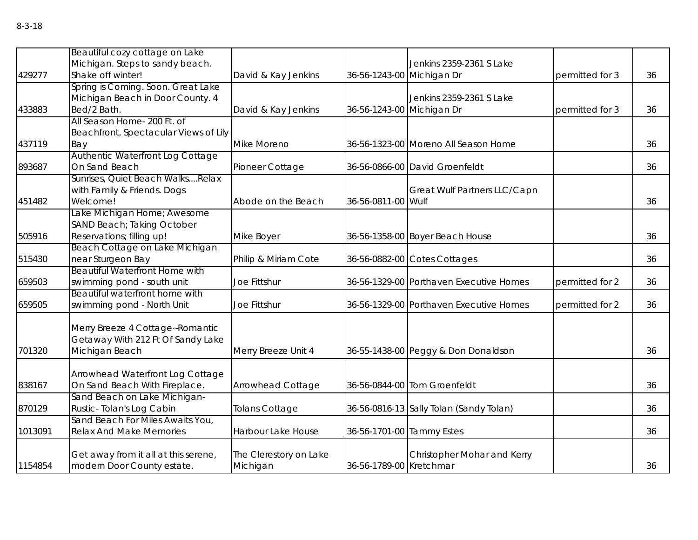|         | Beautiful cozy cottage on Lake                                |                        |                           |                                         |                 |    |
|---------|---------------------------------------------------------------|------------------------|---------------------------|-----------------------------------------|-----------------|----|
|         | Michigan. Steps to sandy beach.                               |                        |                           | Jenkins 2359-2361 S Lake                |                 |    |
| 429277  | Shake off winter!                                             | David & Kay Jenkins    | 36-56-1243-00 Michigan Dr |                                         | permitted for 3 | 36 |
|         | Spring is Coming. Soon. Great Lake                            |                        |                           |                                         |                 |    |
|         | Michigan Beach in Door County. 4                              |                        |                           | Jenkins 2359-2361 S Lake                |                 |    |
| 433883  | Bed/2 Bath.                                                   | David & Kay Jenkins    | 36-56-1243-00 Michigan Dr |                                         | permitted for 3 | 36 |
|         | All Season Home- 200 Ft. of                                   |                        |                           |                                         |                 |    |
|         | Beachfront, Spectacular Views of Lily                         |                        |                           |                                         |                 |    |
| 437119  | Bay                                                           | Mike Moreno            |                           | 36-56-1323-00 Moreno All Season Home    |                 | 36 |
|         | Authentic Waterfront Log Cottage                              |                        |                           |                                         |                 |    |
| 893687  | On Sand Beach                                                 | Pioneer Cottage        |                           | 36-56-0866-00 David Groenfeldt          |                 | 36 |
|         | Sunrises, Quiet Beach WalksRelax                              |                        |                           |                                         |                 |    |
|         | with Family & Friends. Dogs                                   |                        |                           | Great Wulf Partners LLC/Capn            |                 |    |
| 451482  | Welcome!                                                      | Abode on the Beach     | 36-56-0811-00 Wulf        |                                         |                 | 36 |
|         | Lake Michigan Home; Awesome                                   |                        |                           |                                         |                 |    |
|         | SAND Beach; Taking October                                    |                        |                           |                                         |                 |    |
| 505916  | Reservations; filling up!                                     | Mike Boyer             |                           | 36-56-1358-00 Boyer Beach House         |                 | 36 |
|         | Beach Cottage on Lake Michigan                                |                        |                           |                                         |                 |    |
| 515430  | near Sturgeon Bay                                             | Philip & Miriam Cote   |                           | 36-56-0882-00 Cotes Cottages            |                 | 36 |
|         | <b>Beautiful Waterfront Home with</b>                         |                        |                           |                                         |                 |    |
| 659503  | swimming pond - south unit                                    | Joe Fittshur           |                           | 36-56-1329-00 Porthaven Executive Homes | permitted for 2 | 36 |
|         | Beautiful waterfront home with                                |                        |                           |                                         |                 |    |
| 659505  | swimming pond - North Unit                                    | Joe Fittshur           |                           | 36-56-1329-00 Porthaven Executive Homes | permitted for 2 | 36 |
|         |                                                               |                        |                           |                                         |                 |    |
|         | Merry Breeze 4 Cottage~Romantic                               |                        |                           |                                         |                 |    |
|         | Getaway With 212 Ft Of Sandy Lake                             |                        |                           |                                         |                 |    |
| 701320  | Michigan Beach                                                | Merry Breeze Unit 4    |                           | 36-55-1438-00 Peggy & Don Donaldson     |                 | 36 |
|         |                                                               |                        |                           |                                         |                 |    |
|         | Arrowhead Waterfront Log Cottage                              |                        |                           |                                         |                 |    |
| 838167  | On Sand Beach With Fireplace.<br>Sand Beach on Lake Michigan- | Arrowhead Cottage      |                           | 36-56-0844-00 Tom Groenfeldt            |                 | 36 |
| 870129  |                                                               |                        |                           |                                         |                 |    |
|         | Rustic-Tolan's Log Cabin<br>Sand Beach For Miles Awaits You,  | <b>Tolans Cottage</b>  |                           | 36-56-0816-13 Sally Tolan (Sandy Tolan) |                 | 36 |
| 1013091 | <b>Relax And Make Memories</b>                                | Harbour Lake House     | 36-56-1701-00 Tammy Estes |                                         |                 | 36 |
|         |                                                               |                        |                           |                                         |                 |    |
|         | Get away from it all at this serene,                          | The Clerestory on Lake |                           | Christopher Mohar and Kerry             |                 |    |
| 1154854 | modern Door County estate.                                    | Michigan               | 36-56-1789-00 Kretchmar   |                                         |                 | 36 |
|         |                                                               |                        |                           |                                         |                 |    |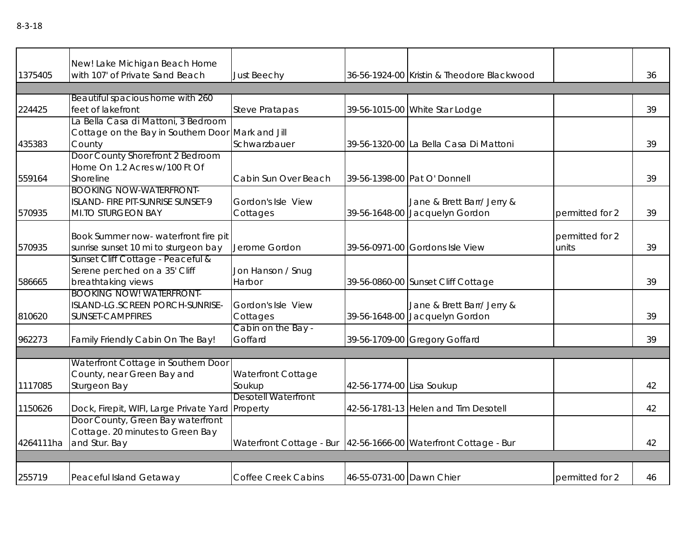|           | New! Lake Michigan Beach Home                                                                      |                                                                   |                           |                                                              |                          |    |
|-----------|----------------------------------------------------------------------------------------------------|-------------------------------------------------------------------|---------------------------|--------------------------------------------------------------|--------------------------|----|
| 1375405   | with 107' of Private Sand Beach                                                                    | <b>Just Beechy</b>                                                |                           | 36-56-1924-00 Kristin & Theodore Blackwood                   |                          | 36 |
|           |                                                                                                    |                                                                   |                           |                                                              |                          |    |
| 224425    | Beautiful spacious home with 260<br>feet of lakefront                                              | <b>Steve Pratapas</b>                                             |                           | 39-56-1015-00 White Star Lodge                               |                          | 39 |
| 435383    | La Bella Casa di Mattoni, 3 Bedroom<br>Cottage on the Bay in Southern Door Mark and Jill<br>County | Schwarzbauer                                                      |                           | 39-56-1320-00 La Bella Casa Di Mattoni                       |                          | 39 |
| 559164    | Door County Shorefront 2 Bedroom<br>Home On 1.2 Acres w/100 Ft Of<br>Shoreline                     | Cabin Sun Over Beach                                              |                           | 39-56-1398-00 Pat O' Donnell                                 |                          | 39 |
| 570935    | <b>BOOKING NOW-WATERFRONT-</b><br>ISLAND- FIRE PIT-SUNRISE SUNSET-9<br>MI.TO STURGEON BAY          | Gordon's Isle View<br>Cottages                                    |                           | Jane & Brett Barr/ Jerry &<br>39-56-1648-00 Jacquelyn Gordon | permitted for 2          | 39 |
| 570935    | Book Summer now- waterfront fire pit<br>sunrise sunset 10 mi to sturgeon bay                       | Jerome Gordon                                                     |                           | 39-56-0971-00 Gordons Isle View                              | permitted for 2<br>units | 39 |
| 586665    | Sunset Cliff Cottage - Peaceful &<br>Serene perched on a 35' Cliff<br>breathtaking views           | Jon Hanson / Snug<br>Harbor                                       |                           | 39-56-0860-00 Sunset Cliff Cottage                           |                          | 39 |
| 810620    | <b>BOOKING NOW! WATERFRONT-</b><br>ISLAND-LG.SCREEN PORCH-SUNRISE-<br>SUNSET-CAMPFIRES             | Gordon's Isle View<br>Cottages                                    |                           | Jane & Brett Barr/ Jerry &<br>39-56-1648-00 Jacquelyn Gordon |                          | 39 |
| 962273    | Family Friendly Cabin On The Bay!                                                                  | Cabin on the Bay -<br>Goffard                                     |                           | 39-56-1709-00 Gregory Goffard                                |                          | 39 |
|           |                                                                                                    |                                                                   |                           |                                                              |                          |    |
| 1117085   | Waterfront Cottage in Southern Door<br>County, near Green Bay and<br>Sturgeon Bay                  | <b>Waterfront Cottage</b><br>Soukup                               | 42-56-1774-00 Lisa Soukup |                                                              |                          | 42 |
| 1150626   | Dock, Firepit, WIFI, Large Private Yard Property                                                   | <b>Desotell Waterfront</b>                                        |                           | 42-56-1781-13 Helen and Tim Desotell                         |                          | 42 |
| 4264111ha | Door County, Green Bay waterfront<br>Cottage. 20 minutes to Green Bay<br>and Stur. Bay             | Waterfront Cottage - Bur   42-56-1666-00 Waterfront Cottage - Bur |                           |                                                              |                          | 42 |
|           |                                                                                                    |                                                                   |                           |                                                              |                          |    |
| 255719    | Peaceful Island Getaway                                                                            | <b>Coffee Creek Cabins</b>                                        | 46-55-0731-00 Dawn Chier  |                                                              | permitted for 2          | 46 |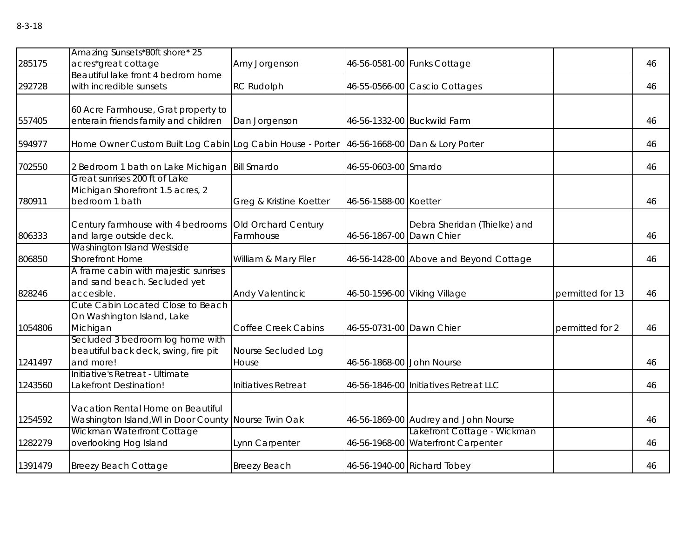| 285175  | Amazing Sunsets*80ft shore* 25<br>acres*great cottage                                                                   | Amy Jorgenson                    |                           | 46-56-0581-00 Funks Cottage                                         |                  | 46 |
|---------|-------------------------------------------------------------------------------------------------------------------------|----------------------------------|---------------------------|---------------------------------------------------------------------|------------------|----|
|         | Beautiful lake front 4 bedrom home                                                                                      |                                  |                           |                                                                     |                  |    |
| 292728  | with incredible sunsets                                                                                                 | <b>RC Rudolph</b>                |                           | 46-55-0566-00 Cascio Cottages                                       |                  | 46 |
| 557405  | 60 Acre Farmhouse, Grat property to<br>enterain friends family and children                                             | Dan Jorgenson                    |                           | 46-56-1332-00 Buckwild Farm                                         |                  | 46 |
|         |                                                                                                                         |                                  |                           |                                                                     |                  |    |
| 594977  | Home Owner Custom Built Log Cabin Log Cabin House - Porter                                                              |                                  |                           | 46-56-1668-00 Dan & Lory Porter                                     |                  | 46 |
| 702550  | 2 Bedroom 1 bath on Lake Michigan   Bill Smardo                                                                         |                                  | 46-55-0603-00 Smardo      |                                                                     |                  | 46 |
| 780911  | Great sunrises 200 ft of Lake<br>Michigan Shorefront 1.5 acres, 2<br>bedroom 1 bath                                     | Greg & Kristine Koetter          | 46-56-1588-00 Koetter     |                                                                     |                  | 46 |
| 806333  | Century farmhouse with 4 bedrooms<br>and large outside deck.                                                            | Old Orchard Century<br>Farmhouse | 46-56-1867-00 Dawn Chier  | Debra Sheridan (Thielke) and                                        |                  | 46 |
| 806850  | Washington Island Westside<br><b>Shorefront Home</b>                                                                    | William & Mary Filer             |                           | 46-56-1428-00 Above and Beyond Cottage                              |                  | 46 |
| 828246  | A frame cabin with majestic sunrises<br>and sand beach. Secluded yet<br>accesible.                                      | Andy Valentincic                 |                           | 46-50-1596-00 Viking Village                                        | permitted for 13 | 46 |
| 1054806 | Cute Cabin Located Close to Beach<br>On Washington Island, Lake<br>Michigan                                             | <b>Coffee Creek Cabins</b>       | 46-55-0731-00 Dawn Chier  |                                                                     | permitted for 2  | 46 |
| 1241497 | Secluded 3 bedroom log home with<br>beautiful back deck, swing, fire pit<br>and more!                                   | Nourse Secluded Log<br>House     | 46-56-1868-00 John Nourse |                                                                     |                  | 46 |
| 1243560 | Initiative's Retreat - Ultimate<br>Lakefront Destination!                                                               | Initiatives Retreat              |                           | 46-56-1846-00 Initiatives Retreat LLC                               |                  | 46 |
| 1254592 | Vacation Rental Home on Beautiful<br>Washington Island, WI in Door County Nourse Twin Oak<br>Wickman Waterfront Cottage |                                  |                           | 46-56-1869-00 Audrey and John Nourse<br>Lakefront Cottage - Wickman |                  | 46 |
| 1282279 | overlooking Hog Island                                                                                                  | Lynn Carpenter                   |                           | 46-56-1968-00 Waterfront Carpenter                                  |                  | 46 |
| 1391479 | <b>Breezy Beach Cottage</b>                                                                                             | <b>Breezy Beach</b>              |                           | 46-56-1940-00 Richard Tobey                                         |                  | 46 |